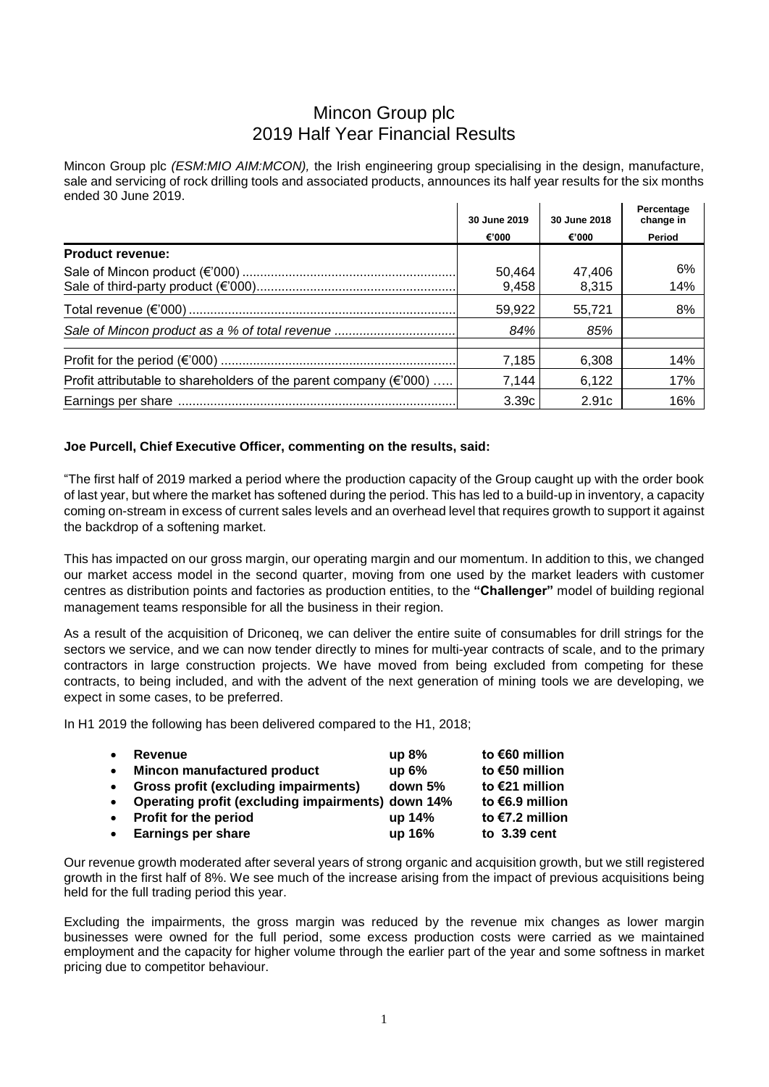# Mincon Group plc 2019 Half Year Financial Results

Mincon Group plc *(ESM:MIO AIM:MCON)*, the Irish engineering group specialising in the design, manufacture, sale and servicing of rock drilling tools and associated products, announces its half year results for the six months ended 30 June 2019.

|                                                                              | 30 June 2019 | 30 June 2018 | Percentage<br>change in |
|------------------------------------------------------------------------------|--------------|--------------|-------------------------|
|                                                                              | €'000        | €'000        | Period                  |
| <b>Product revenue:</b>                                                      |              |              |                         |
|                                                                              | 50,464       | 47,406       | 6%                      |
|                                                                              | 9,458        | 8,315        | 14%                     |
|                                                                              | 59,922       | 55.721       | 8%                      |
|                                                                              | 84%          | 85%          |                         |
|                                                                              |              |              |                         |
|                                                                              | 7,185        | 6,308        | 14%                     |
| Profit attributable to shareholders of the parent company ( $\epsilon$ '000) | 7,144        | 6,122        | 17%                     |
|                                                                              | 3.39c        | 2.91c        | 16%                     |

## **Joe Purcell, Chief Executive Officer, commenting on the results, said:**

"The first half of 2019 marked a period where the production capacity of the Group caught up with the order book of last year, but where the market has softened during the period. This has led to a build-up in inventory, a capacity coming on-stream in excess of current sales levels and an overhead level that requires growth to support it against the backdrop of a softening market.

This has impacted on our gross margin, our operating margin and our momentum. In addition to this, we changed our market access model in the second quarter, moving from one used by the market leaders with customer centres as distribution points and factories as production entities, to the **"Challenger"** model of building regional management teams responsible for all the business in their region.

As a result of the acquisition of Driconeq, we can deliver the entire suite of consumables for drill strings for the sectors we service, and we can now tender directly to mines for multi-year contracts of scale, and to the primary contractors in large construction projects. We have moved from being excluded from competing for these contracts, to being included, and with the advent of the next generation of mining tools we are developing, we expect in some cases, to be preferred.

In H1 2019 the following has been delivered compared to the H1, 2018;

| $\bullet$ | <b>Revenue</b>                                      | up $8\%$ | to €60 million  |
|-----------|-----------------------------------------------------|----------|-----------------|
| $\bullet$ | Mincon manufactured product                         | up 6%    | to €50 million  |
| $\bullet$ | <b>Gross profit (excluding impairments)</b>         | down 5%  | to €21 million  |
|           | • Operating profit (excluding impairments) down 14% |          | to €6.9 million |
|           | • Profit for the period                             | up 14%   | to €7.2 million |
|           | • Earnings per share                                | up 16%   | to $3.39$ cent  |
|           |                                                     |          |                 |

Our revenue growth moderated after several years of strong organic and acquisition growth, but we still registered growth in the first half of 8%. We see much of the increase arising from the impact of previous acquisitions being held for the full trading period this year.

Excluding the impairments, the gross margin was reduced by the revenue mix changes as lower margin businesses were owned for the full period, some excess production costs were carried as we maintained employment and the capacity for higher volume through the earlier part of the year and some softness in market pricing due to competitor behaviour.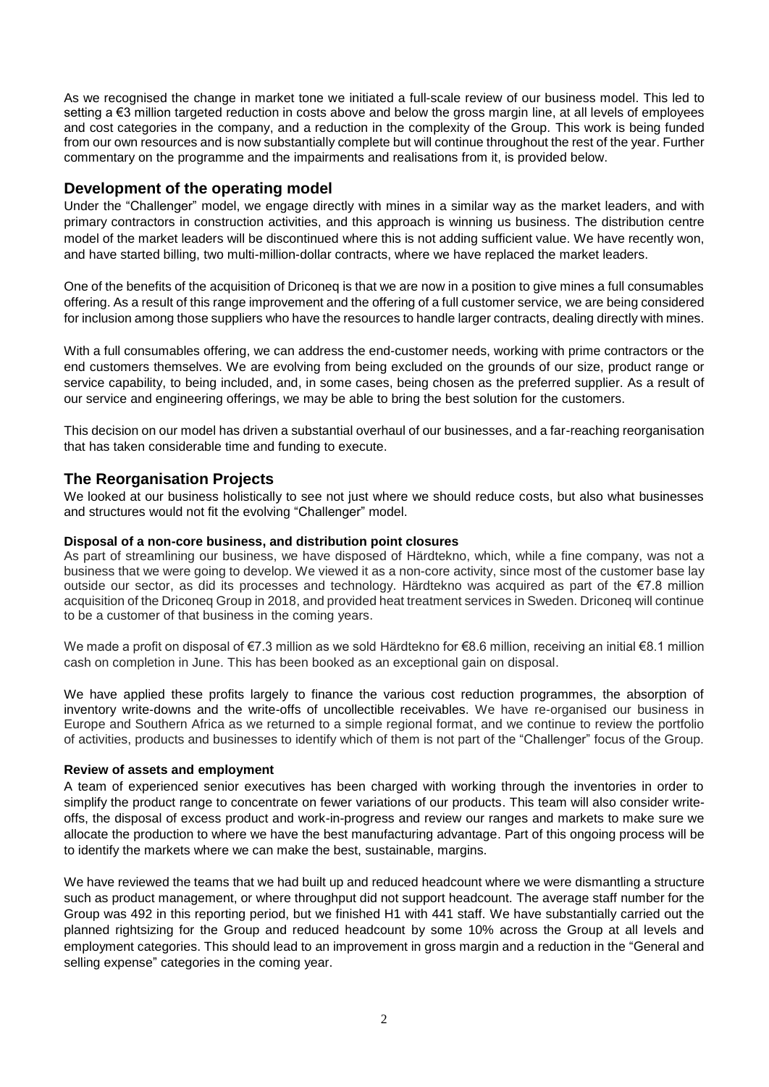As we recognised the change in market tone we initiated a full-scale review of our business model. This led to setting a €3 million targeted reduction in costs above and below the gross margin line, at all levels of employees and cost categories in the company, and a reduction in the complexity of the Group. This work is being funded from our own resources and is now substantially complete but will continue throughout the rest of the year. Further commentary on the programme and the impairments and realisations from it, is provided below.

# **Development of the operating model**

Under the "Challenger" model, we engage directly with mines in a similar way as the market leaders, and with primary contractors in construction activities, and this approach is winning us business. The distribution centre model of the market leaders will be discontinued where this is not adding sufficient value. We have recently won, and have started billing, two multi-million-dollar contracts, where we have replaced the market leaders.

One of the benefits of the acquisition of Driconeq is that we are now in a position to give mines a full consumables offering. As a result of this range improvement and the offering of a full customer service, we are being considered for inclusion among those suppliers who have the resources to handle larger contracts, dealing directly with mines.

With a full consumables offering, we can address the end-customer needs, working with prime contractors or the end customers themselves. We are evolving from being excluded on the grounds of our size, product range or service capability, to being included, and, in some cases, being chosen as the preferred supplier. As a result of our service and engineering offerings, we may be able to bring the best solution for the customers.

This decision on our model has driven a substantial overhaul of our businesses, and a far-reaching reorganisation that has taken considerable time and funding to execute.

# **The Reorganisation Projects**

We looked at our business holistically to see not just where we should reduce costs, but also what businesses and structures would not fit the evolving "Challenger" model.

## **Disposal of a non-core business, and distribution point closures**

As part of streamlining our business, we have disposed of Härdtekno, which, while a fine company, was not a business that we were going to develop. We viewed it as a non-core activity, since most of the customer base lay outside our sector, as did its processes and technology. Härdtekno was acquired as part of the €7.8 million acquisition of the Driconeq Group in 2018, and provided heat treatment services in Sweden. Driconeq will continue to be a customer of that business in the coming years.

We made a profit on disposal of €7.3 million as we sold Härdtekno for €8.6 million, receiving an initial €8.1 million cash on completion in June. This has been booked as an exceptional gain on disposal.

We have applied these profits largely to finance the various cost reduction programmes, the absorption of inventory write-downs and the write-offs of uncollectible receivables. We have re-organised our business in Europe and Southern Africa as we returned to a simple regional format, and we continue to review the portfolio of activities, products and businesses to identify which of them is not part of the "Challenger" focus of the Group.

## **Review of assets and employment**

A team of experienced senior executives has been charged with working through the inventories in order to simplify the product range to concentrate on fewer variations of our products. This team will also consider writeoffs, the disposal of excess product and work-in-progress and review our ranges and markets to make sure we allocate the production to where we have the best manufacturing advantage. Part of this ongoing process will be to identify the markets where we can make the best, sustainable, margins.

We have reviewed the teams that we had built up and reduced headcount where we were dismantling a structure such as product management, or where throughput did not support headcount. The average staff number for the Group was 492 in this reporting period, but we finished H1 with 441 staff. We have substantially carried out the planned rightsizing for the Group and reduced headcount by some 10% across the Group at all levels and employment categories. This should lead to an improvement in gross margin and a reduction in the "General and selling expense" categories in the coming year.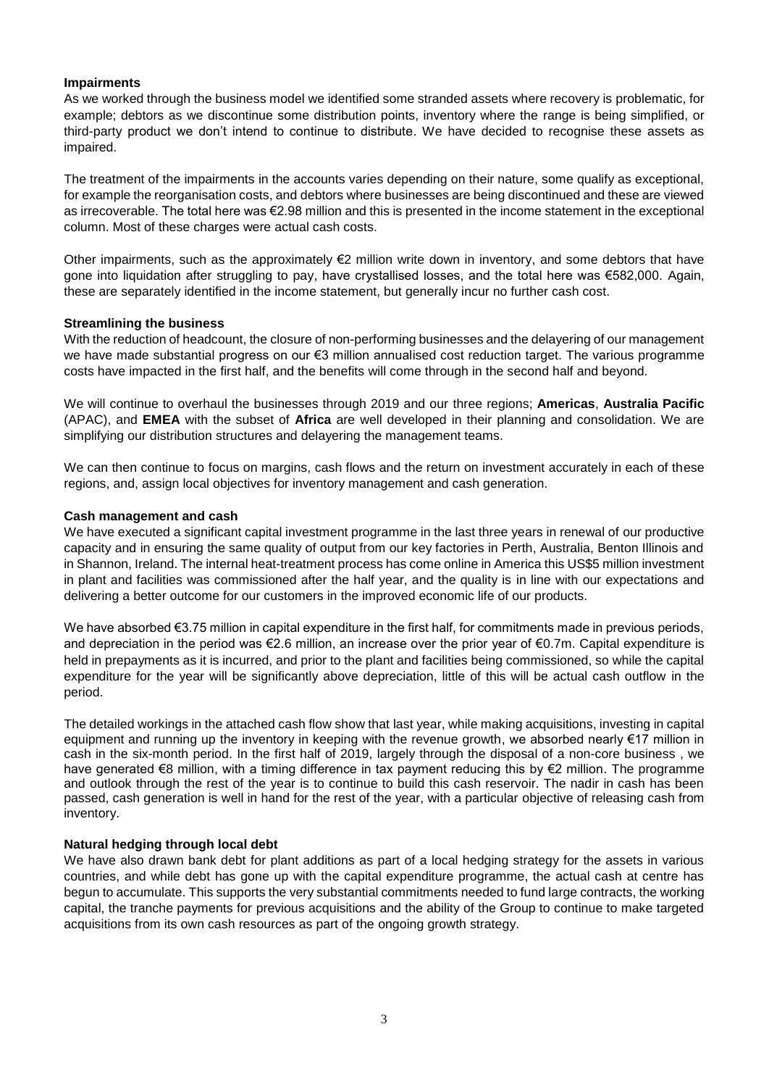## **Impairments**

As we worked through the business model we identified some stranded assets where recovery is problematic, for example; debtors as we discontinue some distribution points, inventory where the range is being simplified, or third-party product we don't intend to continue to distribute. We have decided to recognise these assets as impaired.

The treatment of the impairments in the accounts varies depending on their nature, some qualify as exceptional, for example the reorganisation costs, and debtors where businesses are being discontinued and these are viewed as irrecoverable. The total here was €2.98 million and this is presented in the income statement in the exceptional column. Most of these charges were actual cash costs.

Other impairments, such as the approximately €2 million write down in inventory, and some debtors that have gone into liquidation after struggling to pay, have crystallised losses, and the total here was €582,000. Again, these are separately identified in the income statement, but generally incur no further cash cost.

## **Streamlining the business**

With the reduction of headcount, the closure of non-performing businesses and the delayering of our management we have made substantial progress on our €3 million annualised cost reduction target. The various programme costs have impacted in the first half, and the benefits will come through in the second half and beyond.

We will continue to overhaul the businesses through 2019 and our three regions; **Americas**, **Australia Pacific** (APAC), and **EMEA** with the subset of **Africa** are well developed in their planning and consolidation. We are simplifying our distribution structures and delayering the management teams.

We can then continue to focus on margins, cash flows and the return on investment accurately in each of these regions, and, assign local objectives for inventory management and cash generation.

## **Cash management and cash**

We have executed a significant capital investment programme in the last three years in renewal of our productive capacity and in ensuring the same quality of output from our key factories in Perth, Australia, Benton Illinois and in Shannon, Ireland. The internal heat-treatment process has come online in America this US\$5 million investment in plant and facilities was commissioned after the half year, and the quality is in line with our expectations and delivering a better outcome for our customers in the improved economic life of our products.

We have absorbed €3.75 million in capital expenditure in the first half, for commitments made in previous periods, and depreciation in the period was €2.6 million, an increase over the prior year of €0.7m. Capital expenditure is held in prepayments as it is incurred, and prior to the plant and facilities being commissioned, so while the capital expenditure for the year will be significantly above depreciation, little of this will be actual cash outflow in the period.

The detailed workings in the attached cash flow show that last year, while making acquisitions, investing in capital equipment and running up the inventory in keeping with the revenue growth, we absorbed nearly €17 million in cash in the six-month period. In the first half of 2019, largely through the disposal of a non-core business , we have generated €8 million, with a timing difference in tax payment reducing this by €2 million. The programme and outlook through the rest of the year is to continue to build this cash reservoir. The nadir in cash has been passed, cash generation is well in hand for the rest of the year, with a particular objective of releasing cash from inventory.

## **Natural hedging through local debt**

We have also drawn bank debt for plant additions as part of a local hedging strategy for the assets in various countries, and while debt has gone up with the capital expenditure programme, the actual cash at centre has begun to accumulate. This supports the very substantial commitments needed to fund large contracts, the working capital, the tranche payments for previous acquisitions and the ability of the Group to continue to make targeted acquisitions from its own cash resources as part of the ongoing growth strategy.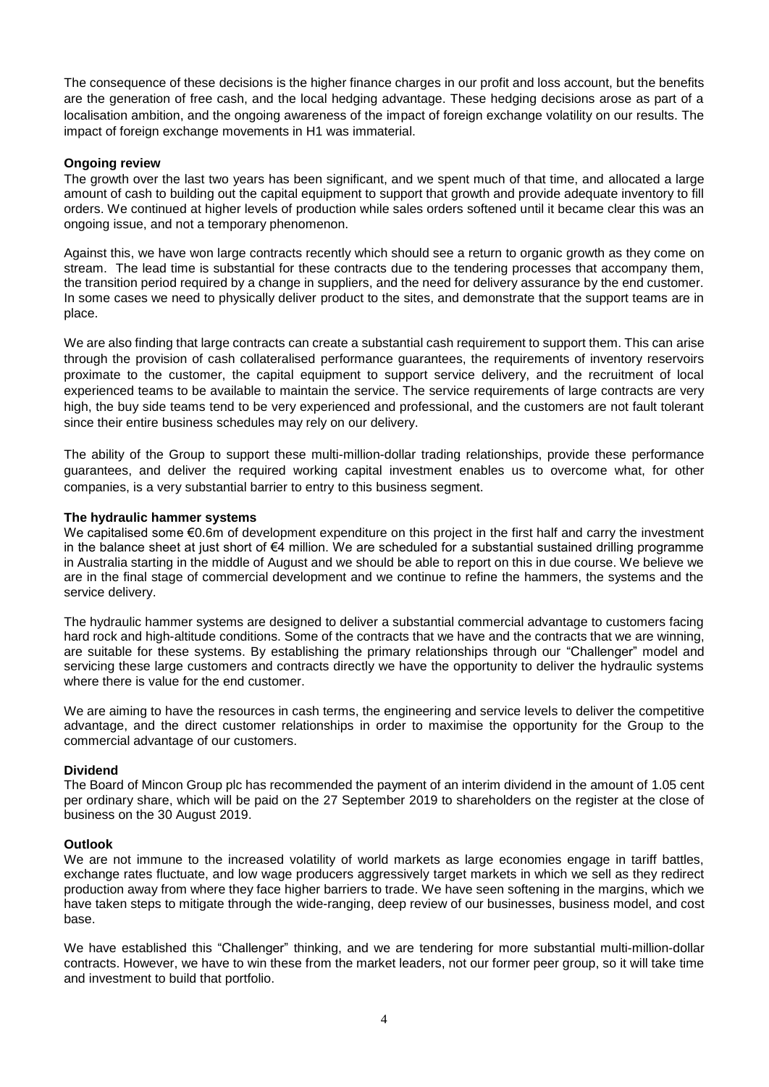The consequence of these decisions is the higher finance charges in our profit and loss account, but the benefits are the generation of free cash, and the local hedging advantage. These hedging decisions arose as part of a localisation ambition, and the ongoing awareness of the impact of foreign exchange volatility on our results. The impact of foreign exchange movements in H1 was immaterial.

## **Ongoing review**

The growth over the last two years has been significant, and we spent much of that time, and allocated a large amount of cash to building out the capital equipment to support that growth and provide adequate inventory to fill orders. We continued at higher levels of production while sales orders softened until it became clear this was an ongoing issue, and not a temporary phenomenon.

Against this, we have won large contracts recently which should see a return to organic growth as they come on stream. The lead time is substantial for these contracts due to the tendering processes that accompany them, the transition period required by a change in suppliers, and the need for delivery assurance by the end customer. In some cases we need to physically deliver product to the sites, and demonstrate that the support teams are in place.

We are also finding that large contracts can create a substantial cash requirement to support them. This can arise through the provision of cash collateralised performance guarantees, the requirements of inventory reservoirs proximate to the customer, the capital equipment to support service delivery, and the recruitment of local experienced teams to be available to maintain the service. The service requirements of large contracts are very high, the buy side teams tend to be very experienced and professional, and the customers are not fault tolerant since their entire business schedules may rely on our delivery.

The ability of the Group to support these multi-million-dollar trading relationships, provide these performance guarantees, and deliver the required working capital investment enables us to overcome what, for other companies, is a very substantial barrier to entry to this business segment.

## **The hydraulic hammer systems**

We capitalised some €0.6m of development expenditure on this project in the first half and carry the investment in the balance sheet at just short of €4 million. We are scheduled for a substantial sustained drilling programme in Australia starting in the middle of August and we should be able to report on this in due course. We believe we are in the final stage of commercial development and we continue to refine the hammers, the systems and the service delivery.

The hydraulic hammer systems are designed to deliver a substantial commercial advantage to customers facing hard rock and high-altitude conditions. Some of the contracts that we have and the contracts that we are winning, are suitable for these systems. By establishing the primary relationships through our "Challenger" model and servicing these large customers and contracts directly we have the opportunity to deliver the hydraulic systems where there is value for the end customer.

We are aiming to have the resources in cash terms, the engineering and service levels to deliver the competitive advantage, and the direct customer relationships in order to maximise the opportunity for the Group to the commercial advantage of our customers.

#### **Dividend**

The Board of Mincon Group plc has recommended the payment of an interim dividend in the amount of 1.05 cent per ordinary share, which will be paid on the 27 September 2019 to shareholders on the register at the close of business on the 30 August 2019.

#### **Outlook**

We are not immune to the increased volatility of world markets as large economies engage in tariff battles, exchange rates fluctuate, and low wage producers aggressively target markets in which we sell as they redirect production away from where they face higher barriers to trade. We have seen softening in the margins, which we have taken steps to mitigate through the wide-ranging, deep review of our businesses, business model, and cost base.

We have established this "Challenger" thinking, and we are tendering for more substantial multi-million-dollar contracts. However, we have to win these from the market leaders, not our former peer group, so it will take time and investment to build that portfolio.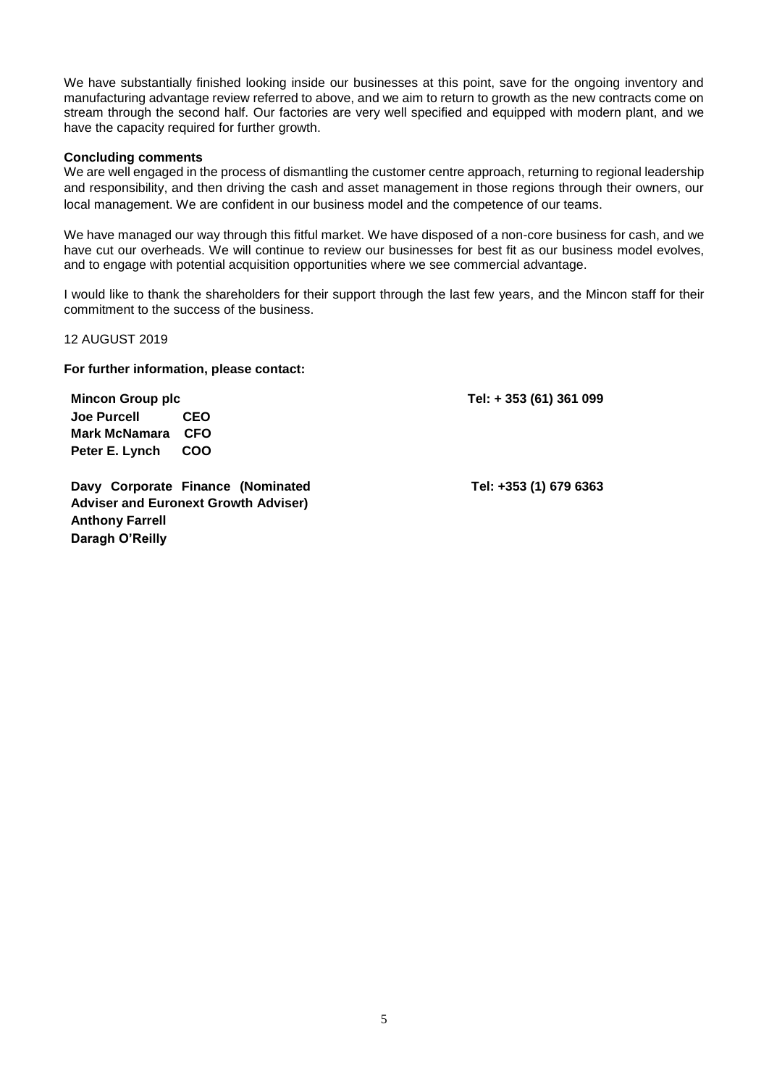We have substantially finished looking inside our businesses at this point, save for the ongoing inventory and manufacturing advantage review referred to above, and we aim to return to growth as the new contracts come on stream through the second half. Our factories are very well specified and equipped with modern plant, and we have the capacity required for further growth.

#### **Concluding comments**

We are well engaged in the process of dismantling the customer centre approach, returning to regional leadership and responsibility, and then driving the cash and asset management in those regions through their owners, our local management. We are confident in our business model and the competence of our teams.

We have managed our way through this fitful market. We have disposed of a non-core business for cash, and we have cut our overheads. We will continue to review our businesses for best fit as our business model evolves, and to engage with potential acquisition opportunities where we see commercial advantage.

I would like to thank the shareholders for their support through the last few years, and the Mincon staff for their commitment to the success of the business.

12 AUGUST 2019

**For further information, please contact:**

**Mincon Group plc Tel: + 353 (61) 361 099**

**Joe Purcell CEO Mark McNamara CFO Peter E. Lynch COO**

**Davy Corporate Finance (Nominated Adviser and Euronext Growth Adviser) Anthony Farrell Daragh O'Reilly**

**Tel: +353 (1) 679 6363**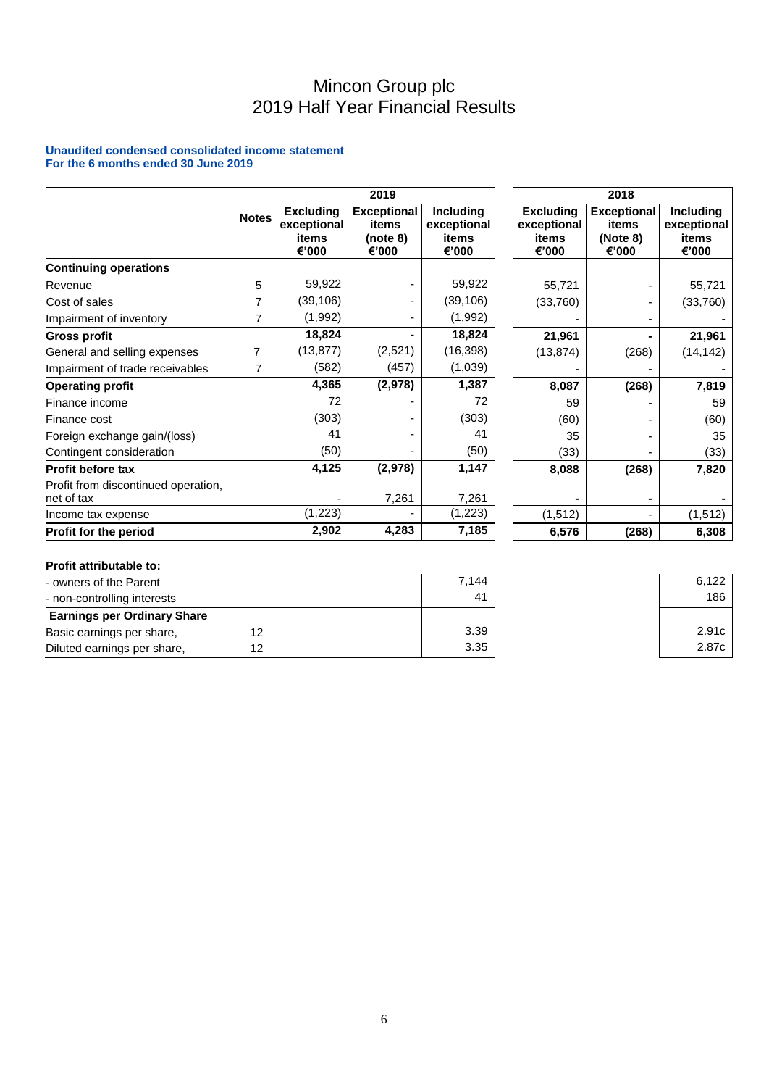# Mincon Group plc 2019 Half Year Financial Results

#### **Unaudited condensed consolidated income statement For the 6 months ended 30 June 2019**

|                                                   |              |                                                   | 2019                                             |                                                   |                                                   | 2018                                             |                                                   |
|---------------------------------------------------|--------------|---------------------------------------------------|--------------------------------------------------|---------------------------------------------------|---------------------------------------------------|--------------------------------------------------|---------------------------------------------------|
|                                                   | <b>Notes</b> | <b>Excluding</b><br>exceptional<br>items<br>€'000 | <b>Exceptional</b><br>items<br>(note 8)<br>€'000 | <b>Including</b><br>exceptional<br>items<br>€'000 | <b>Excluding</b><br>exceptional<br>items<br>€'000 | <b>Exceptional</b><br>items<br>(Note 8)<br>€'000 | <b>Including</b><br>exceptional<br>items<br>€'000 |
| <b>Continuing operations</b>                      |              |                                                   |                                                  |                                                   |                                                   |                                                  |                                                   |
| Revenue                                           | 5            | 59,922                                            |                                                  | 59,922                                            | 55,721                                            |                                                  | 55,721                                            |
| Cost of sales                                     |              | (39, 106)                                         |                                                  | (39, 106)                                         | (33,760)                                          |                                                  | (33,760)                                          |
| Impairment of inventory                           |              | (1,992)                                           |                                                  | (1,992)                                           |                                                   |                                                  |                                                   |
| <b>Gross profit</b>                               |              | 18,824                                            |                                                  | 18,824                                            | 21,961                                            |                                                  | 21,961                                            |
| General and selling expenses                      | 7            | (13, 877)                                         | (2,521)                                          | (16, 398)                                         | (13, 874)                                         | (268)                                            | (14, 142)                                         |
| Impairment of trade receivables                   |              | (582)                                             | (457)                                            | (1,039)                                           |                                                   |                                                  |                                                   |
| <b>Operating profit</b>                           |              | 4,365                                             | (2,978)                                          | 1,387                                             | 8,087                                             | (268)                                            | 7,819                                             |
| Finance income                                    |              | 72                                                |                                                  | 72                                                | 59                                                |                                                  | 59                                                |
| Finance cost                                      |              | (303)                                             |                                                  | (303)                                             | (60)                                              |                                                  | (60)                                              |
| Foreign exchange gain/(loss)                      |              | 41                                                |                                                  | 41                                                | 35                                                |                                                  | 35                                                |
| Contingent consideration                          |              | (50)                                              |                                                  | (50)                                              | (33)                                              |                                                  | (33)                                              |
| Profit before tax                                 |              | 4,125                                             | (2,978)                                          | 1,147                                             | 8,088                                             | (268)                                            | 7,820                                             |
| Profit from discontinued operation,<br>net of tax |              |                                                   | 7,261                                            | 7,261                                             |                                                   |                                                  |                                                   |
| Income tax expense                                |              | (1, 223)                                          |                                                  | (1,223)                                           | (1, 512)                                          |                                                  | (1, 512)                                          |
| Profit for the period                             |              | 2,902                                             | 4,283                                            | 7,185                                             | 6,576                                             | (268)                                            | 6,308                                             |

## **Profit attributable to:**

| - owners of the Parent             |    | 7.144 | 6.122 |
|------------------------------------|----|-------|-------|
| - non-controlling interests        |    | 41    | 186   |
| <b>Earnings per Ordinary Share</b> |    |       |       |
| Basic earnings per share,          |    | 3.39  | 2.91c |
| Diluted earnings per share,        | 12 | 3.35  | 2.87c |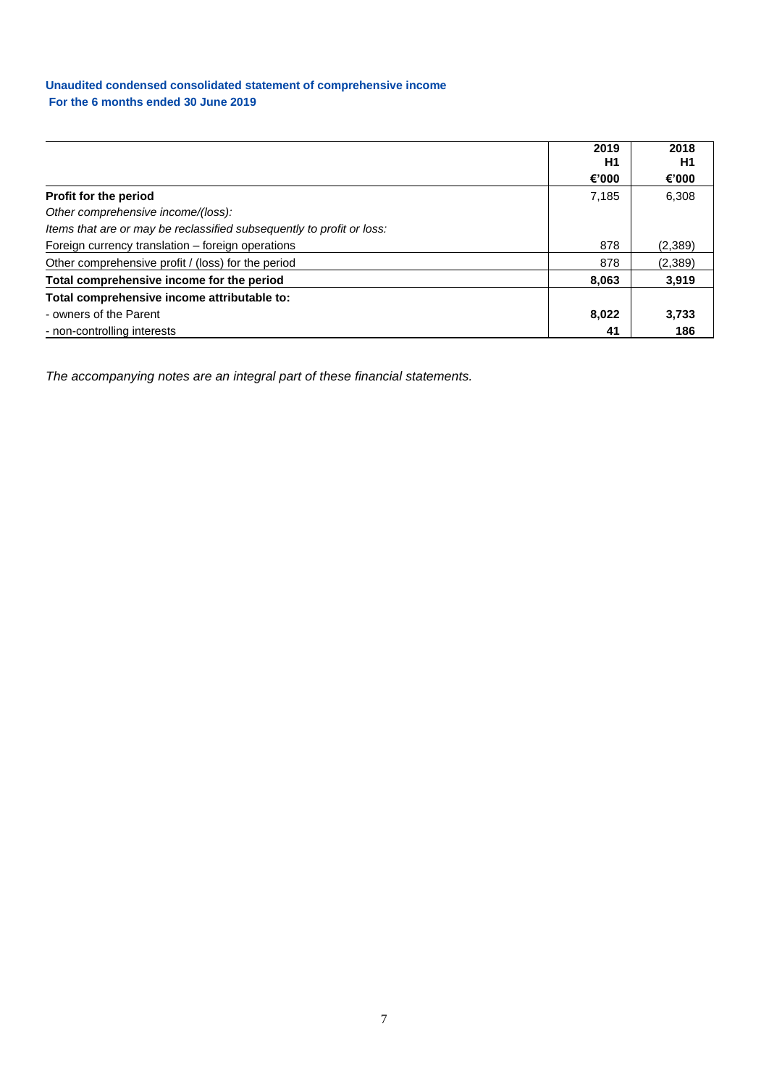## **Unaudited condensed consolidated statement of comprehensive income For the 6 months ended 30 June 2019**

|                                                                       | 2019<br>H1 | 2018<br>H1 |
|-----------------------------------------------------------------------|------------|------------|
|                                                                       | €'000      | €'000      |
| Profit for the period                                                 | 7,185      | 6,308      |
| Other comprehensive income/(loss):                                    |            |            |
| Items that are or may be reclassified subsequently to profit or loss: |            |            |
| Foreign currency translation - foreign operations                     | 878        | (2,389)    |
| Other comprehensive profit / (loss) for the period                    | 878        | (2,389)    |
| Total comprehensive income for the period                             | 8,063      | 3,919      |
| Total comprehensive income attributable to:                           |            |            |
| - owners of the Parent                                                | 8,022      | 3,733      |
| - non-controlling interests                                           | 41         | 186        |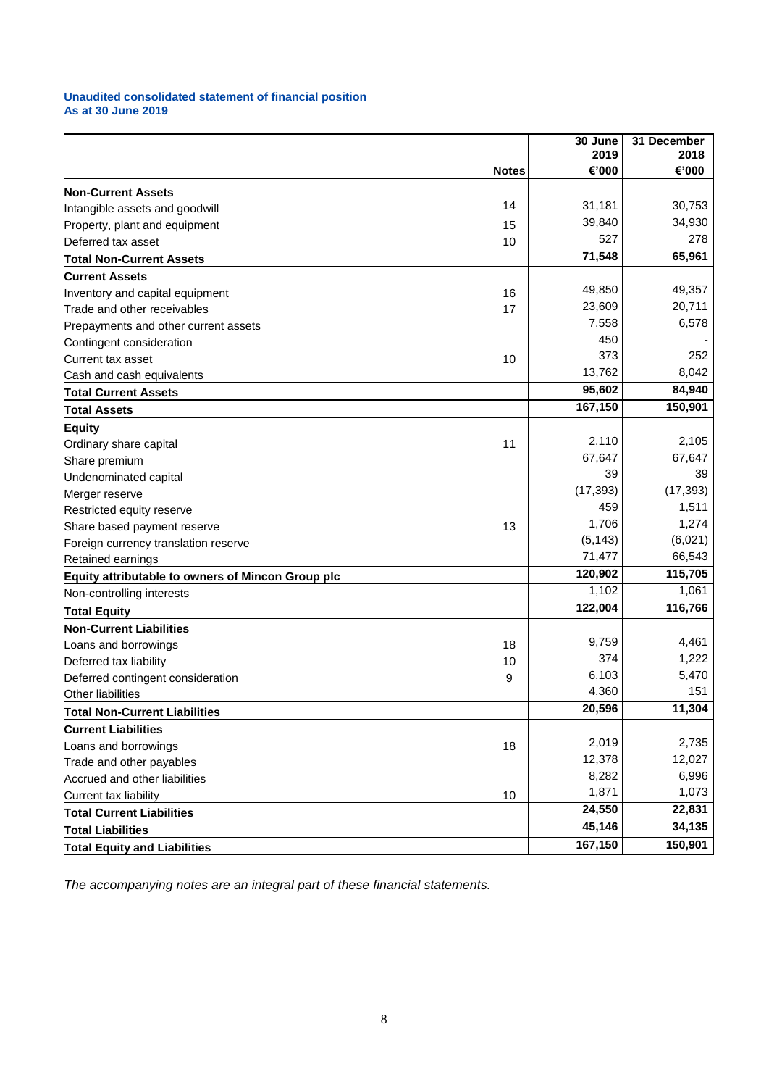#### **Unaudited consolidated statement of financial position As at 30 June 2019**

|                                                          |              | 30 June<br>2019 | 31 December<br>2018 |
|----------------------------------------------------------|--------------|-----------------|---------------------|
|                                                          | <b>Notes</b> | €'000           | €'000               |
| <b>Non-Current Assets</b>                                |              |                 |                     |
| Intangible assets and goodwill                           | 14           | 31,181          | 30,753              |
| Property, plant and equipment                            | 15           | 39,840          | 34,930              |
| Deferred tax asset                                       | 10           | 527             | 278                 |
| <b>Total Non-Current Assets</b>                          |              | 71,548          | 65,961              |
| <b>Current Assets</b>                                    |              |                 |                     |
| Inventory and capital equipment                          | 16           | 49,850          | 49,357              |
| Trade and other receivables                              | 17           | 23,609          | 20,711              |
| Prepayments and other current assets                     |              | 7,558           | 6,578               |
| Contingent consideration                                 |              | 450             |                     |
| Current tax asset                                        | 10           | 373             | 252                 |
| Cash and cash equivalents                                |              | 13,762          | 8,042               |
| <b>Total Current Assets</b>                              |              | 95,602          | 84,940              |
| <b>Total Assets</b>                                      |              | 167,150         | 150,901             |
| <b>Equity</b>                                            |              |                 |                     |
| Ordinary share capital                                   | 11           | 2,110           | 2.105               |
| Share premium                                            |              | 67,647          | 67,647              |
| Undenominated capital                                    |              | 39              | 39                  |
| Merger reserve                                           |              | (17, 393)       | (17, 393)           |
| Restricted equity reserve                                |              | 459             | 1,511               |
| Share based payment reserve                              | 13           | 1,706           | 1,274               |
| Foreign currency translation reserve                     |              | (5, 143)        | (6,021)             |
| Retained earnings                                        |              | 71,477          | 66,543              |
| <b>Equity attributable to owners of Mincon Group plc</b> |              | 120,902         | 115,705             |
| Non-controlling interests                                |              | 1,102           | 1,061               |
| <b>Total Equity</b>                                      |              | 122,004         | 116,766             |
| <b>Non-Current Liabilities</b>                           |              |                 |                     |
| Loans and borrowings                                     | 18           | 9,759           | 4,461               |
| Deferred tax liability                                   | 10           | 374             | 1,222               |
| Deferred contingent consideration                        | 9            | 6,103           | 5,470               |
| Other liabilities                                        |              | 4,360           | 151                 |
| <b>Total Non-Current Liabilities</b>                     |              | 20,596          | 11,304              |
| <b>Current Liabilities</b>                               |              |                 |                     |
| Loans and borrowings                                     | 18           | 2,019           | 2,735               |
| Trade and other payables                                 |              | 12,378          | 12,027              |
| Accrued and other liabilities                            |              | 8,282           | 6,996               |
| Current tax liability                                    | 10           | 1,871           | 1,073               |
| <b>Total Current Liabilities</b>                         |              | 24,550          | 22,831              |
| <b>Total Liabilities</b>                                 |              | 45,146          | 34,135              |
| <b>Total Equity and Liabilities</b>                      |              | 167,150         | 150,901             |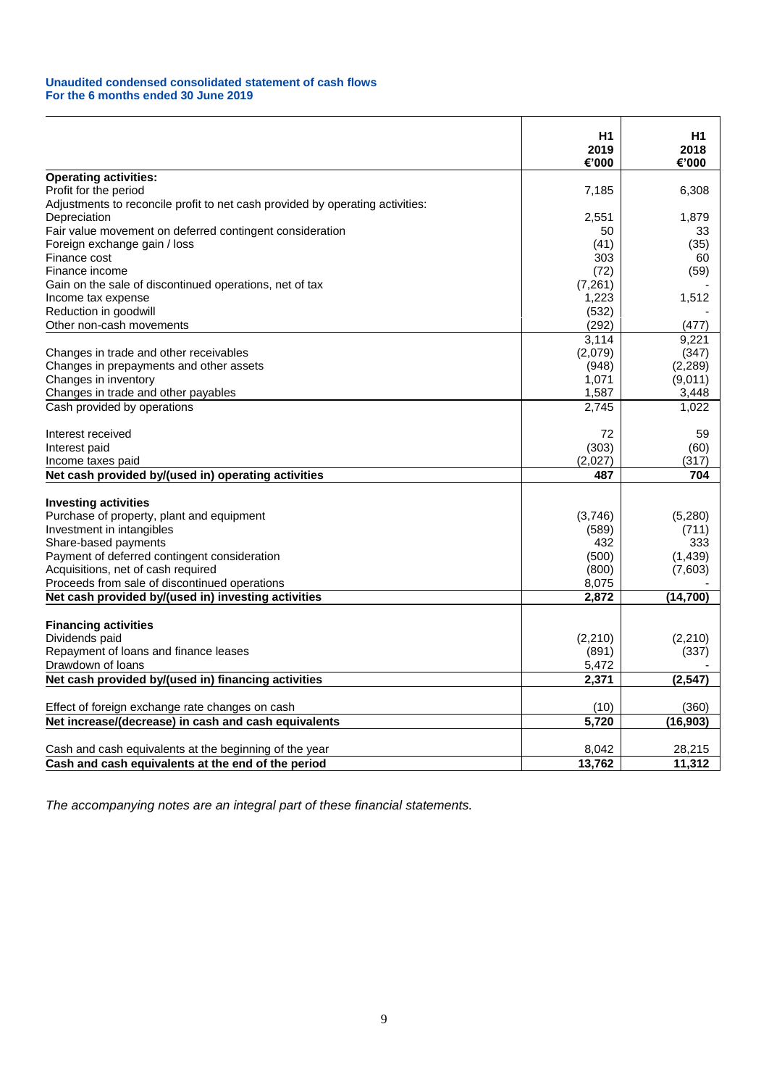#### **Unaudited condensed consolidated statement of cash flows For the 6 months ended 30 June 2019**

|                                                                               | H1<br>2019<br>€'000 | H1<br>2018<br>€'000 |
|-------------------------------------------------------------------------------|---------------------|---------------------|
| <b>Operating activities:</b>                                                  |                     |                     |
| Profit for the period                                                         | 7,185               | 6,308               |
| Adjustments to reconcile profit to net cash provided by operating activities: |                     |                     |
| Depreciation                                                                  | 2,551               | 1,879               |
| Fair value movement on deferred contingent consideration                      | 50                  | 33                  |
| Foreign exchange gain / loss                                                  | (41)                | (35)                |
| Finance cost                                                                  | 303                 | 60                  |
| Finance income                                                                | (72)                | (59)                |
| Gain on the sale of discontinued operations, net of tax                       | (7,261)             |                     |
| Income tax expense                                                            | 1,223               | 1,512               |
| Reduction in goodwill                                                         | (532)               |                     |
| Other non-cash movements                                                      | (292)               | (477)               |
|                                                                               | 3,114               | 9,221               |
| Changes in trade and other receivables                                        | (2,079)             | (347)               |
| Changes in prepayments and other assets                                       | (948)               | (2,289)             |
| Changes in inventory                                                          | 1,071               | (9,011)             |
| Changes in trade and other payables                                           | 1,587               | 3,448               |
| Cash provided by operations                                                   | 2,745               | 1,022               |
| Interest received                                                             | 72                  | 59                  |
| Interest paid                                                                 | (303)               | (60)                |
| Income taxes paid                                                             | (2,027)             | (317)               |
| Net cash provided by/(used in) operating activities                           | 487                 | 704                 |
| <b>Investing activities</b>                                                   |                     |                     |
| Purchase of property, plant and equipment                                     | (3,746)             | (5,280)             |
| Investment in intangibles                                                     | (589)               | (711)               |
| Share-based payments                                                          | 432                 | 333                 |
| Payment of deferred contingent consideration                                  | (500)               | (1, 439)            |
| Acquisitions, net of cash required                                            | (800)               | (7,603)             |
| Proceeds from sale of discontinued operations                                 | 8,075               |                     |
| Net cash provided by/(used in) investing activities                           | 2,872               | (14, 700)           |
| <b>Financing activities</b>                                                   |                     |                     |
|                                                                               |                     |                     |
| Dividends paid<br>Repayment of loans and finance leases                       | (2, 210)<br>(891)   | (2,210)             |
|                                                                               |                     | (337)               |
| Drawdown of loans                                                             | 5,472               |                     |
| Net cash provided by/(used in) financing activities                           | 2,371               | (2, 547)            |
| Effect of foreign exchange rate changes on cash                               | (10)                | (360)               |
| Net increase/(decrease) in cash and cash equivalents                          | 5,720               | (16, 903)           |
| Cash and cash equivalents at the beginning of the year                        | 8,042               | 28,215              |
| Cash and cash equivalents at the end of the period                            | 13,762              | 11,312              |
|                                                                               |                     |                     |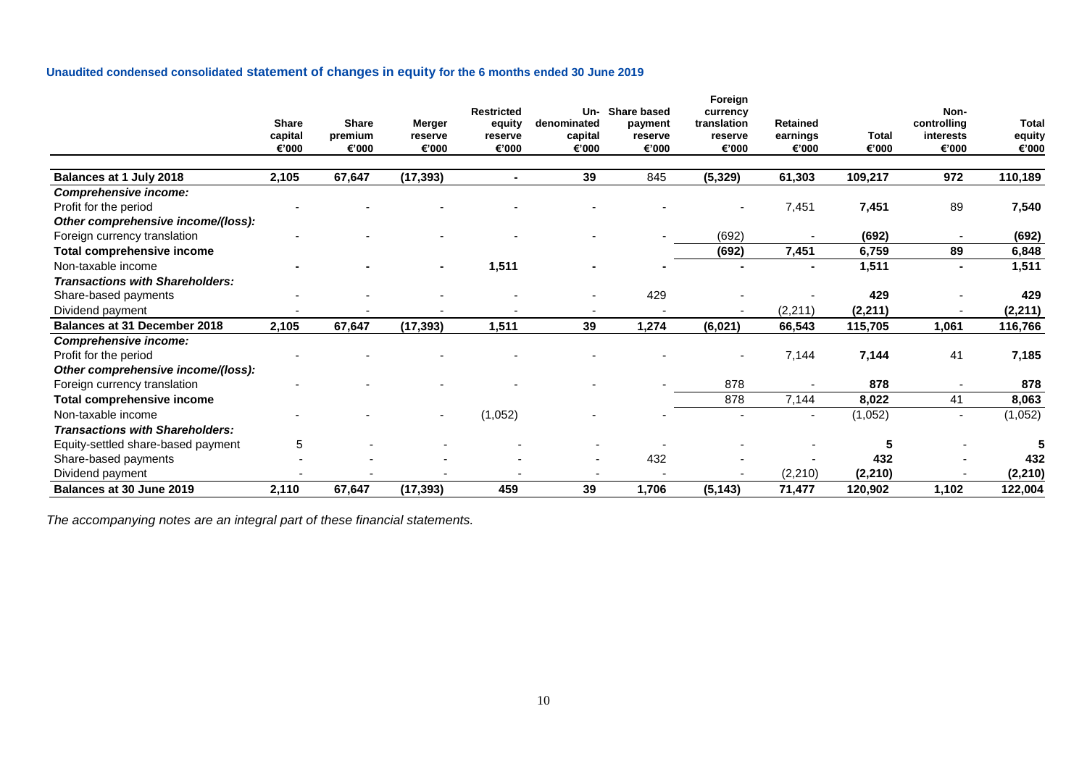# **Unaudited condensed consolidated statement of changes in equity for the 6 months ended 30 June 2019**

|                                        | <b>Share</b><br>capital<br>€'000 | <b>Share</b><br>premium<br>€'000 | <b>Merger</b><br>reserve<br>€'000 | <b>Restricted</b><br>equity<br>reserve<br>€'000 | Un-<br>denominated<br>capital<br>€'000 | <b>Share based</b><br>payment<br>reserve<br>€'000 | Foreign<br>currency<br>translation<br>reserve<br>€'000 | <b>Retained</b><br>earnings<br>€'000 | <b>Total</b><br>€'000 | Non-<br>controlling<br>interests<br>€'000 | <b>Total</b><br>equity<br>€'000 |
|----------------------------------------|----------------------------------|----------------------------------|-----------------------------------|-------------------------------------------------|----------------------------------------|---------------------------------------------------|--------------------------------------------------------|--------------------------------------|-----------------------|-------------------------------------------|---------------------------------|
| Balances at 1 July 2018                | 2,105                            | 67,647                           | (17, 393)                         |                                                 | 39                                     | 845                                               | (5, 329)                                               | 61,303                               | 109,217               | 972                                       | 110,189                         |
| <b>Comprehensive income:</b>           |                                  |                                  |                                   |                                                 |                                        |                                                   |                                                        |                                      |                       |                                           |                                 |
| Profit for the period                  |                                  |                                  |                                   |                                                 |                                        |                                                   |                                                        | 7,451                                | 7,451                 | 89                                        | 7,540                           |
| Other comprehensive income/(loss):     |                                  |                                  |                                   |                                                 |                                        |                                                   |                                                        |                                      |                       |                                           |                                 |
| Foreign currency translation           |                                  |                                  |                                   |                                                 |                                        |                                                   | (692)                                                  |                                      | (692)                 | $\overline{\phantom{a}}$                  | (692)                           |
| Total comprehensive income             |                                  |                                  |                                   |                                                 |                                        |                                                   | (692)                                                  | 7,451                                | 6,759                 | 89                                        | 6,848                           |
| Non-taxable income                     |                                  |                                  | $\blacksquare$                    | 1,511                                           |                                        |                                                   |                                                        |                                      | 1,511                 | $\blacksquare$                            | 1,511                           |
| <b>Transactions with Shareholders:</b> |                                  |                                  |                                   |                                                 |                                        |                                                   |                                                        |                                      |                       |                                           |                                 |
| Share-based payments                   |                                  |                                  |                                   |                                                 |                                        | 429                                               |                                                        |                                      | 429                   | $\overline{\phantom{a}}$                  | 429                             |
| Dividend payment                       |                                  |                                  |                                   |                                                 |                                        |                                                   |                                                        | (2, 211)                             | (2, 211)              |                                           | (2, 211)                        |
| <b>Balances at 31 December 2018</b>    | 2,105                            | 67,647                           | (17, 393)                         | 1,511                                           | 39                                     | 1,274                                             | (6,021)                                                | 66,543                               | 115,705               | 1,061                                     | 116,766                         |
| Comprehensive income:                  |                                  |                                  |                                   |                                                 |                                        |                                                   |                                                        |                                      |                       |                                           |                                 |
| Profit for the period                  |                                  |                                  |                                   |                                                 |                                        |                                                   |                                                        | 7,144                                | 7,144                 | 41                                        | 7,185                           |
| Other comprehensive income/(loss):     |                                  |                                  |                                   |                                                 |                                        |                                                   |                                                        |                                      |                       |                                           |                                 |
| Foreign currency translation           |                                  |                                  |                                   |                                                 |                                        |                                                   | 878                                                    |                                      | 878                   | $\blacksquare$                            | 878                             |
| Total comprehensive income             |                                  |                                  |                                   |                                                 |                                        |                                                   | 878                                                    | 7,144                                | 8,022                 | 41                                        | 8,063                           |
| Non-taxable income                     |                                  |                                  | ٠                                 | (1,052)                                         |                                        |                                                   |                                                        |                                      | (1,052)               | $\overline{\phantom{a}}$                  | (1,052)                         |
| <b>Transactions with Shareholders:</b> |                                  |                                  |                                   |                                                 |                                        |                                                   |                                                        |                                      |                       |                                           |                                 |
| Equity-settled share-based payment     | 5                                |                                  |                                   |                                                 |                                        |                                                   |                                                        |                                      | 5                     |                                           |                                 |
| Share-based payments                   |                                  |                                  |                                   |                                                 |                                        | 432                                               |                                                        |                                      | 432                   |                                           | 432                             |
| Dividend payment                       |                                  |                                  |                                   |                                                 |                                        |                                                   |                                                        | (2, 210)                             | (2, 210)              |                                           | (2, 210)                        |
| Balances at 30 June 2019               | 2,110                            | 67,647                           | (17, 393)                         | 459                                             | 39                                     | 1,706                                             | (5, 143)                                               | 71,477                               | 120,902               | 1,102                                     | 122,004                         |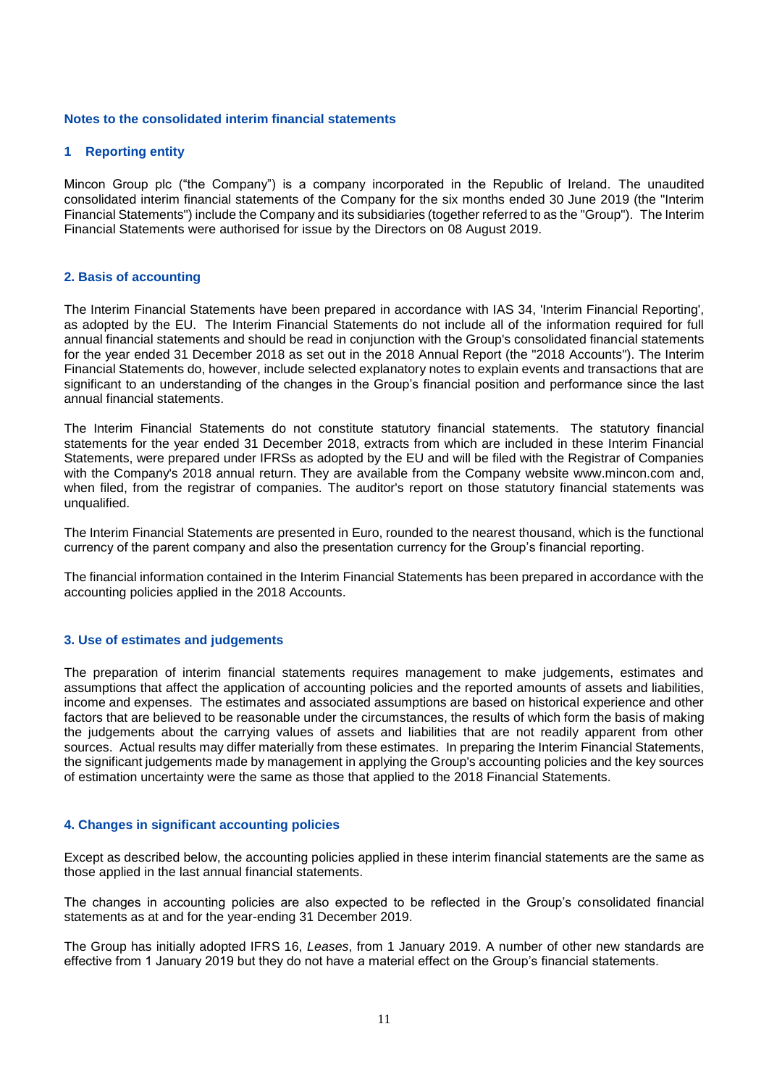#### **Notes to the consolidated interim financial statements**

#### **1 Reporting entity**

Mincon Group plc ("the Company") is a company incorporated in the Republic of Ireland. The unaudited consolidated interim financial statements of the Company for the six months ended 30 June 2019 (the "Interim Financial Statements") include the Company and its subsidiaries (together referred to as the "Group"). The Interim Financial Statements were authorised for issue by the Directors on 08 August 2019.

## **2. Basis of accounting**

The Interim Financial Statements have been prepared in accordance with IAS 34, 'Interim Financial Reporting', as adopted by the EU. The Interim Financial Statements do not include all of the information required for full annual financial statements and should be read in conjunction with the Group's consolidated financial statements for the year ended 31 December 2018 as set out in the 2018 Annual Report (the "2018 Accounts"). The Interim Financial Statements do, however, include selected explanatory notes to explain events and transactions that are significant to an understanding of the changes in the Group's financial position and performance since the last annual financial statements.

The Interim Financial Statements do not constitute statutory financial statements. The statutory financial statements for the year ended 31 December 2018, extracts from which are included in these Interim Financial Statements, were prepared under IFRSs as adopted by the EU and will be filed with the Registrar of Companies with the Company's 2018 annual return. They are available from the Company website www.mincon.com and, when filed, from the registrar of companies. The auditor's report on those statutory financial statements was unqualified.

The Interim Financial Statements are presented in Euro, rounded to the nearest thousand, which is the functional currency of the parent company and also the presentation currency for the Group's financial reporting.

The financial information contained in the Interim Financial Statements has been prepared in accordance with the accounting policies applied in the 2018 Accounts.

#### **3. Use of estimates and judgements**

The preparation of interim financial statements requires management to make judgements, estimates and assumptions that affect the application of accounting policies and the reported amounts of assets and liabilities, income and expenses. The estimates and associated assumptions are based on historical experience and other factors that are believed to be reasonable under the circumstances, the results of which form the basis of making the judgements about the carrying values of assets and liabilities that are not readily apparent from other sources. Actual results may differ materially from these estimates. In preparing the Interim Financial Statements, the significant judgements made by management in applying the Group's accounting policies and the key sources of estimation uncertainty were the same as those that applied to the 2018 Financial Statements.

#### **4. Changes in significant accounting policies**

Except as described below, the accounting policies applied in these interim financial statements are the same as those applied in the last annual financial statements.

The changes in accounting policies are also expected to be reflected in the Group's consolidated financial statements as at and for the year-ending 31 December 2019.

The Group has initially adopted IFRS 16, *Leases*, from 1 January 2019. A number of other new standards are effective from 1 January 2019 but they do not have a material effect on the Group's financial statements.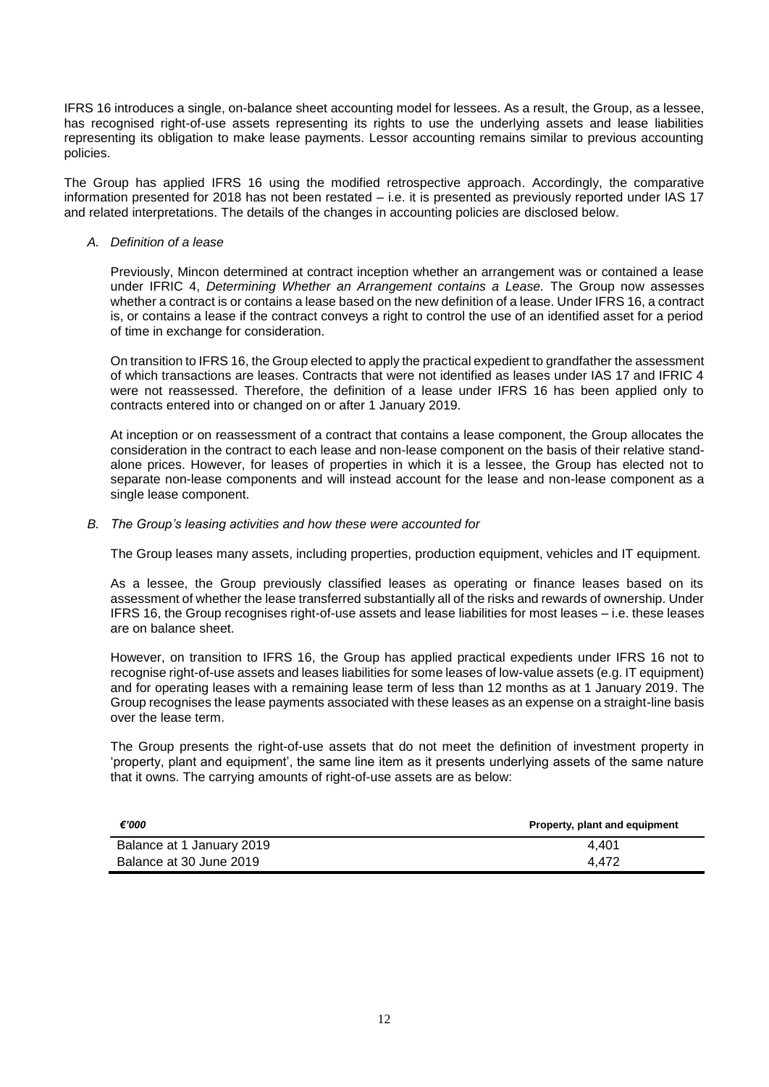IFRS 16 introduces a single, on-balance sheet accounting model for lessees. As a result, the Group, as a lessee, has recognised right-of-use assets representing its rights to use the underlying assets and lease liabilities representing its obligation to make lease payments. Lessor accounting remains similar to previous accounting policies.

The Group has applied IFRS 16 using the modified retrospective approach. Accordingly, the comparative information presented for 2018 has not been restated – i.e. it is presented as previously reported under IAS 17 and related interpretations. The details of the changes in accounting policies are disclosed below.

## *A. Definition of a lease*

Previously, Mincon determined at contract inception whether an arrangement was or contained a lease under IFRIC 4, *Determining Whether an Arrangement contains a Lease.* The Group now assesses whether a contract is or contains a lease based on the new definition of a lease. Under IFRS 16, a contract is, or contains a lease if the contract conveys a right to control the use of an identified asset for a period of time in exchange for consideration.

On transition to IFRS 16, the Group elected to apply the practical expedient to grandfather the assessment of which transactions are leases. Contracts that were not identified as leases under IAS 17 and IFRIC 4 were not reassessed. Therefore, the definition of a lease under IFRS 16 has been applied only to contracts entered into or changed on or after 1 January 2019.

At inception or on reassessment of a contract that contains a lease component, the Group allocates the consideration in the contract to each lease and non-lease component on the basis of their relative standalone prices. However, for leases of properties in which it is a lessee, the Group has elected not to separate non-lease components and will instead account for the lease and non-lease component as a single lease component.

## *B. The Group's leasing activities and how these were accounted for*

The Group leases many assets, including properties, production equipment, vehicles and IT equipment.

As a lessee, the Group previously classified leases as operating or finance leases based on its assessment of whether the lease transferred substantially all of the risks and rewards of ownership. Under IFRS 16, the Group recognises right-of-use assets and lease liabilities for most leases – i.e. these leases are on balance sheet.

However, on transition to IFRS 16, the Group has applied practical expedients under IFRS 16 not to recognise right-of-use assets and leases liabilities for some leases of low-value assets (e.g. IT equipment) and for operating leases with a remaining lease term of less than 12 months as at 1 January 2019. The Group recognises the lease payments associated with these leases as an expense on a straight-line basis over the lease term.

The Group presents the right-of-use assets that do not meet the definition of investment property in 'property, plant and equipment', the same line item as it presents underlying assets of the same nature that it owns. The carrying amounts of right-of-use assets are as below:

| €'000                     | Property, plant and equipment |
|---------------------------|-------------------------------|
| Balance at 1 January 2019 | 4.401                         |
| Balance at 30 June 2019   | 4.472                         |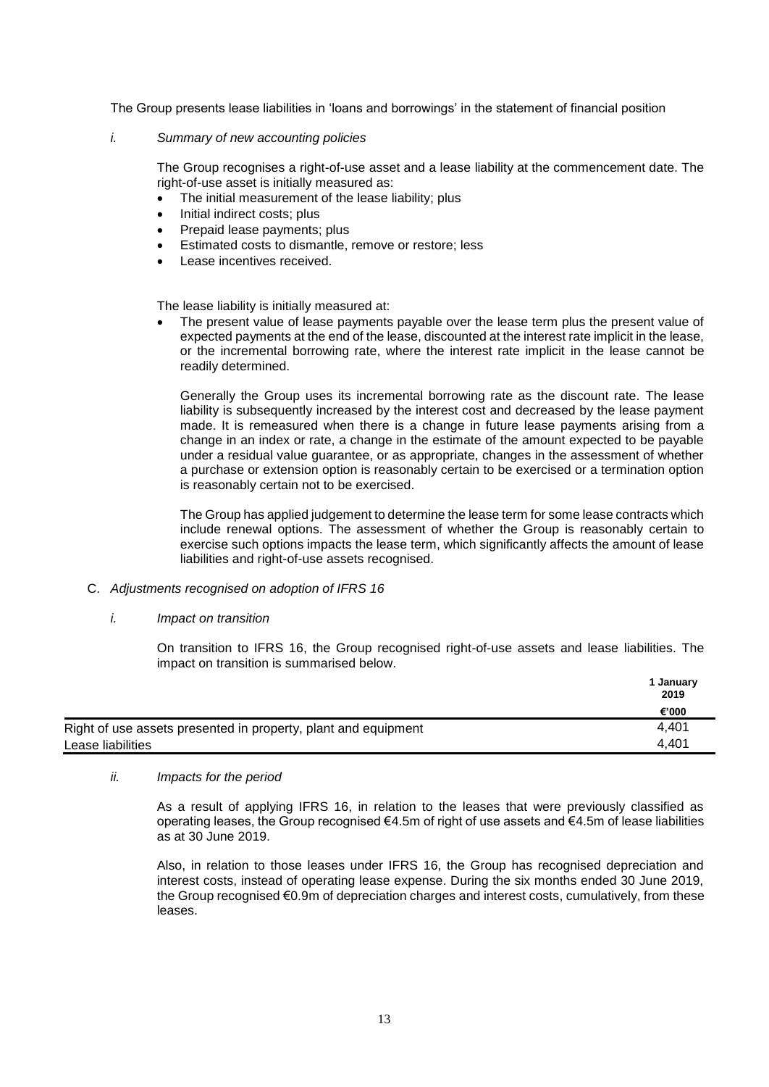The Group presents lease liabilities in 'loans and borrowings' in the statement of financial position

## *i. Summary of new accounting policies*

The Group recognises a right-of-use asset and a lease liability at the commencement date. The right-of-use asset is initially measured as:

- The initial measurement of the lease liability; plus
- Initial indirect costs; plus
- Prepaid lease payments; plus
- Estimated costs to dismantle, remove or restore; less
- Lease incentives received.

The lease liability is initially measured at:

The present value of lease payments payable over the lease term plus the present value of expected payments at the end of the lease, discounted at the interest rate implicit in the lease, or the incremental borrowing rate, where the interest rate implicit in the lease cannot be readily determined.

Generally the Group uses its incremental borrowing rate as the discount rate. The lease liability is subsequently increased by the interest cost and decreased by the lease payment made. It is remeasured when there is a change in future lease payments arising from a change in an index or rate, a change in the estimate of the amount expected to be payable under a residual value guarantee, or as appropriate, changes in the assessment of whether a purchase or extension option is reasonably certain to be exercised or a termination option is reasonably certain not to be exercised.

The Group has applied judgement to determine the lease term for some lease contracts which include renewal options. The assessment of whether the Group is reasonably certain to exercise such options impacts the lease term, which significantly affects the amount of lease liabilities and right-of-use assets recognised.

- C. *Adjustments recognised on adoption of IFRS 16*
	- *i. Impact on transition*

On transition to IFRS 16, the Group recognised right-of-use assets and lease liabilities. The impact on transition is summarised below.

|                                                                | 1 January<br>2019 |
|----------------------------------------------------------------|-------------------|
|                                                                | €'000             |
| Right of use assets presented in property, plant and equipment | 4.401             |
| Lease liabilities                                              | 4.401             |

*ii. Impacts for the period*

As a result of applying IFRS 16, in relation to the leases that were previously classified as operating leases, the Group recognised €4.5m of right of use assets and €4.5m of lease liabilities as at 30 June 2019.

Also, in relation to those leases under IFRS 16, the Group has recognised depreciation and interest costs, instead of operating lease expense. During the six months ended 30 June 2019, the Group recognised €0.9m of depreciation charges and interest costs, cumulatively, from these leases.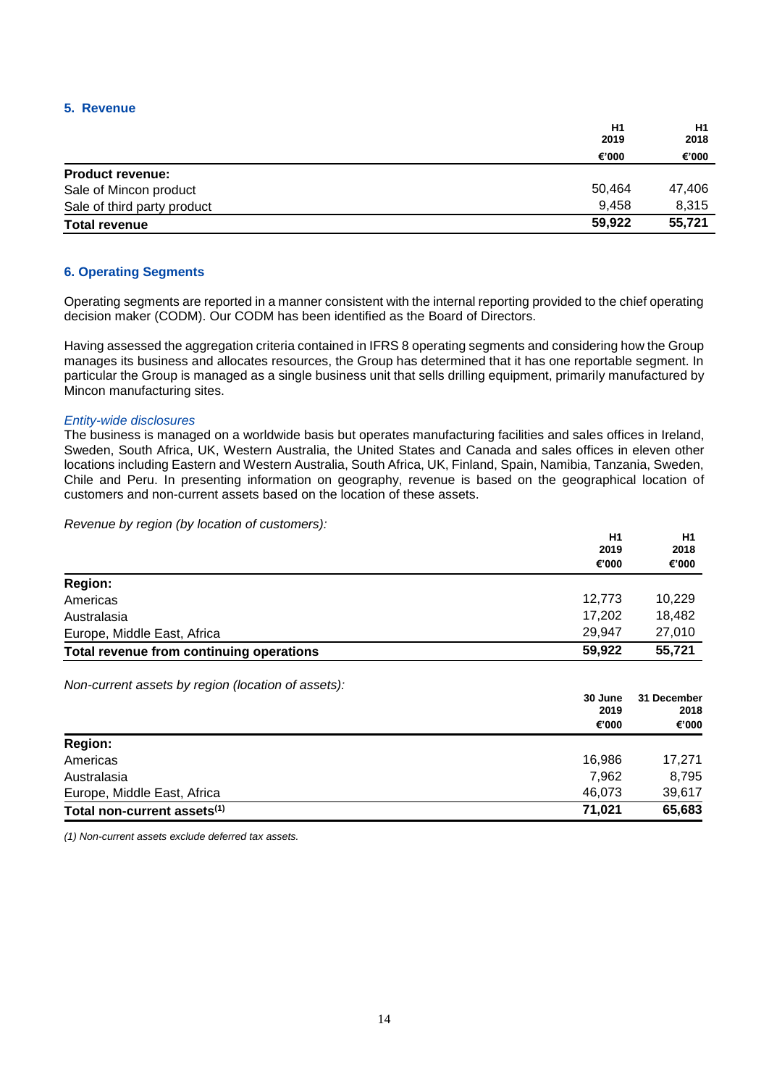## **5. Revenue**

|                             | H1     | H1<br>2018 |
|-----------------------------|--------|------------|
|                             | 2019   |            |
|                             | €'000  | €'000      |
| <b>Product revenue:</b>     |        |            |
| Sale of Mincon product      | 50,464 | 47,406     |
| Sale of third party product | 9.458  | 8.315      |
| <b>Total revenue</b>        | 59,922 | 55,721     |

## **6. Operating Segments**

Operating segments are reported in a manner consistent with the internal reporting provided to the chief operating decision maker (CODM). Our CODM has been identified as the Board of Directors.

Having assessed the aggregation criteria contained in IFRS 8 operating segments and considering how the Group manages its business and allocates resources, the Group has determined that it has one reportable segment. In particular the Group is managed as a single business unit that sells drilling equipment, primarily manufactured by Mincon manufacturing sites.

#### *Entity-wide disclosures*

The business is managed on a worldwide basis but operates manufacturing facilities and sales offices in Ireland, Sweden, South Africa, UK, Western Australia, the United States and Canada and sales offices in eleven other locations including Eastern and Western Australia, South Africa, UK, Finland, Spain, Namibia, Tanzania, Sweden, Chile and Peru. In presenting information on geography, revenue is based on the geographical location of customers and non-current assets based on the location of these assets.

*Revenue by region (by location of customers):*

|                                                    | H <sub>1</sub> | H <sub>1</sub> |
|----------------------------------------------------|----------------|----------------|
|                                                    | 2019<br>€'000  | 2018<br>€'000  |
| <b>Region:</b>                                     |                |                |
| Americas                                           | 12.773         | 10,229         |
| Australasia                                        | 17,202         | 18,482         |
| Europe, Middle East, Africa                        | 29,947         | 27,010         |
| Total revenue from continuing operations           | 59,922         | 55,721         |
| Non-current assets by region (location of assets): |                |                |

|                                         | 30 June<br>2019 | 31 December<br>2018<br>€'000 |
|-----------------------------------------|-----------------|------------------------------|
|                                         | €'000           |                              |
| <b>Region:</b>                          |                 |                              |
| Americas                                | 16.986          | 17,271                       |
| Australasia                             | 7,962           | 8,795                        |
| Europe, Middle East, Africa             | 46,073          | 39,617                       |
| Total non-current assets <sup>(1)</sup> | 71,021          | 65,683                       |

*(1) Non-current assets exclude deferred tax assets.*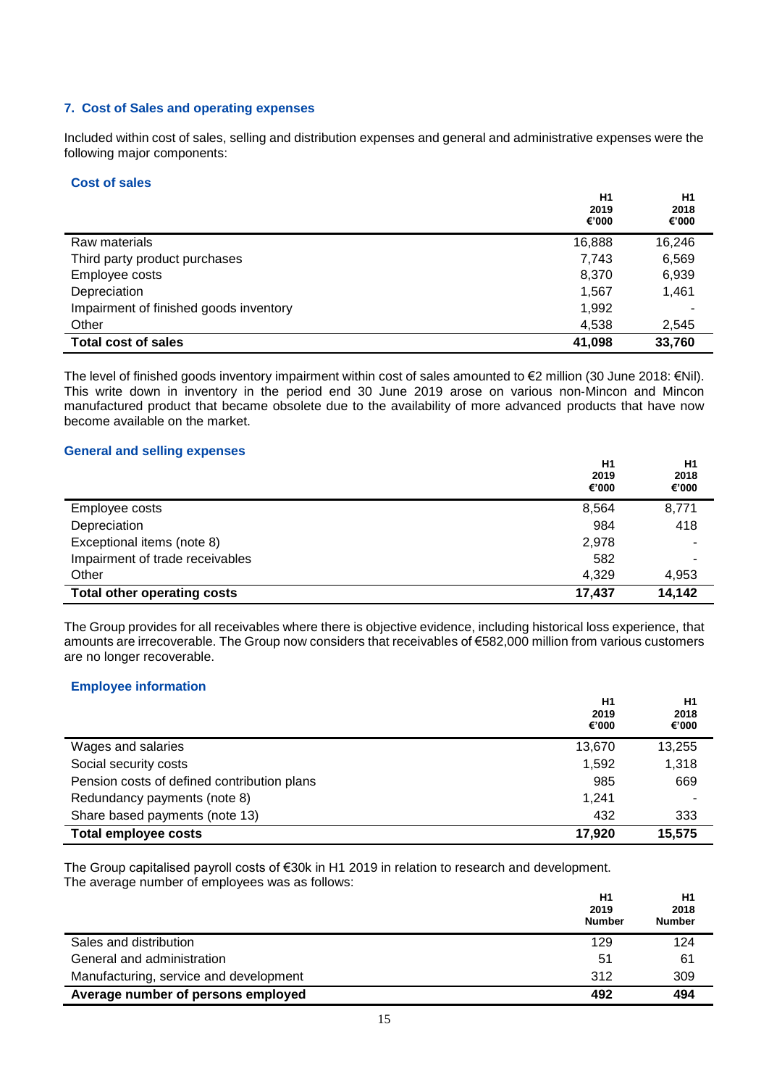## **7. Cost of Sales and operating expenses**

Included within cost of sales, selling and distribution expenses and general and administrative expenses were the following major components:

#### **Cost of sales**

|                                        | H1<br>2019<br>€'000 | H1<br>2018<br>€'000 |
|----------------------------------------|---------------------|---------------------|
| Raw materials                          | 16,888              | 16,246              |
| Third party product purchases          | 7,743               | 6,569               |
| Employee costs                         | 8,370               | 6,939               |
| Depreciation                           | 1,567               | 1,461               |
| Impairment of finished goods inventory | 1,992               |                     |
| Other                                  | 4,538               | 2,545               |
| <b>Total cost of sales</b>             | 41,098              | 33,760              |

The level of finished goods inventory impairment within cost of sales amounted to  $\epsilon$ 2 million (30 June 2018:  $\epsilon$ Nil). This write down in inventory in the period end 30 June 2019 arose on various non‑Mincon and Mincon manufactured product that became obsolete due to the availability of more advanced products that have now become available on the market.

## **General and selling expenses**

|                                    | H1<br>2019<br>€'000 | H <sub>1</sub><br>2018<br>€'000 |
|------------------------------------|---------------------|---------------------------------|
| Employee costs                     | 8,564               | 8,771                           |
| Depreciation                       | 984                 | 418                             |
| Exceptional items (note 8)         | 2,978               | ۰                               |
| Impairment of trade receivables    | 582                 | -                               |
| Other                              | 4,329               | 4,953                           |
| <b>Total other operating costs</b> | 17,437              | 14,142                          |

The Group provides for all receivables where there is objective evidence, including historical loss experience, that amounts are irrecoverable. The Group now considers that receivables of €582,000 million from various customers are no longer recoverable.

## **Employee information**

|                                             | H1<br>2019<br>€'000 | H1<br>2018<br>€'000 |
|---------------------------------------------|---------------------|---------------------|
| Wages and salaries                          | 13,670              | 13,255              |
| Social security costs                       | 1.592               | 1,318               |
| Pension costs of defined contribution plans | 985                 | 669                 |
| Redundancy payments (note 8)                | 1.241               | ٠                   |
| Share based payments (note 13)              | 432                 | 333                 |
| <b>Total employee costs</b>                 | 17,920              | 15,575              |

The Group capitalised payroll costs of €30k in H1 2019 in relation to research and development. The average number of employees was as follows:

|                                        | H1<br>2019<br><b>Number</b> | H1<br>2018<br><b>Number</b> |
|----------------------------------------|-----------------------------|-----------------------------|
| Sales and distribution                 | 129                         | 124                         |
| General and administration             | 51                          | 61                          |
| Manufacturing, service and development | 312                         | 309                         |
| Average number of persons employed     | 492                         | 494                         |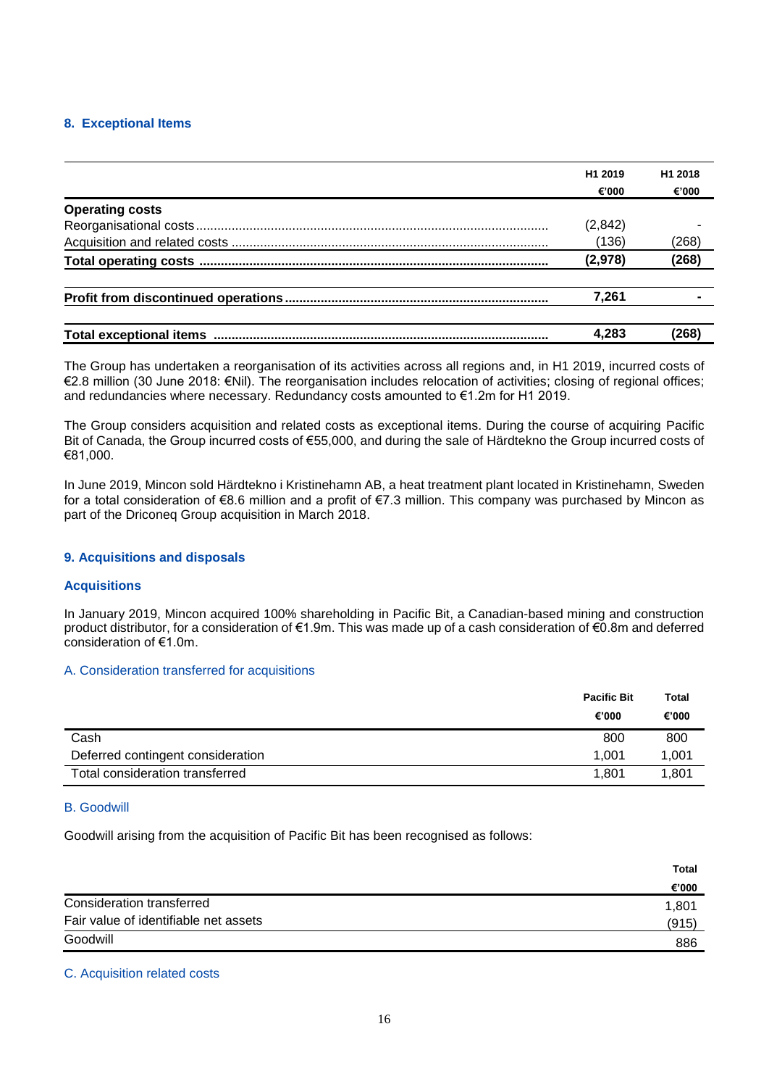## **8. Exceptional Items**

|                        | H <sub>1</sub> 2019 | H <sub>1</sub> 2018 |
|------------------------|---------------------|---------------------|
|                        | €'000               | €'000               |
| <b>Operating costs</b> |                     |                     |
|                        | (2, 842)            |                     |
|                        | (136)               | (268)               |
|                        | (2,978)             | (268)               |
|                        | 7.261               |                     |
|                        | 4.283               | (268)               |

The Group has undertaken a reorganisation of its activities across all regions and, in H1 2019, incurred costs of €2.8 million (30 June 2018: €Nil). The reorganisation includes relocation of activities; closing of regional offices; and redundancies where necessary. Redundancy costs amounted to €1.2m for H1 2019.

The Group considers acquisition and related costs as exceptional items. During the course of acquiring Pacific Bit of Canada, the Group incurred costs of €55,000, and during the sale of Härdtekno the Group incurred costs of €81,000.

In June 2019, Mincon sold Härdtekno i Kristinehamn AB, a heat treatment plant located in Kristinehamn, Sweden for a total consideration of €8.6 million and a profit of €7.3 million. This company was purchased by Mincon as part of the Driconeq Group acquisition in March 2018.

## **9. Acquisitions and disposals**

## **Acquisitions**

In January 2019, Mincon acquired 100% shareholding in Pacific Bit, a Canadian-based mining and construction product distributor, for a consideration of €1.9m. This was made up of a cash consideration of €0.8m and deferred consideration of €1.0m.

## A. Consideration transferred for acquisitions

|                                   | <b>Pacific Bit</b> | <b>Total</b> |
|-----------------------------------|--------------------|--------------|
|                                   | €'000              | €'000        |
| Cash                              | 800                | 800          |
| Deferred contingent consideration | 1.001              | 1,001        |
| Total consideration transferred   | 1.801              | 1,801        |

## B. Goodwill

Goodwill arising from the acquisition of Pacific Bit has been recognised as follows:

|                                       | <b>Total</b> |
|---------------------------------------|--------------|
|                                       | €'000        |
| Consideration transferred             | 1,801        |
| Fair value of identifiable net assets | (915)        |
| Goodwill                              | 886          |
|                                       |              |

## C. Acquisition related costs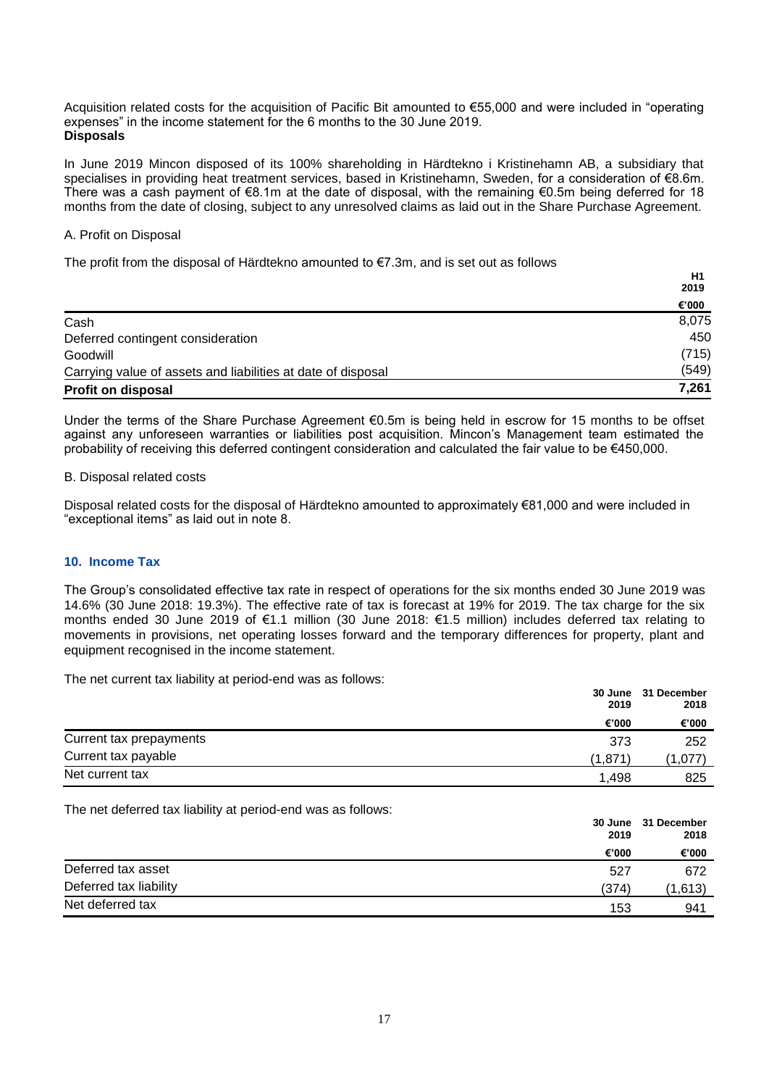Acquisition related costs for the acquisition of Pacific Bit amounted to €55,000 and were included in "operating expenses" in the income statement for the 6 months to the 30 June 2019. **Disposals**

In June 2019 Mincon disposed of its 100% shareholding in Härdtekno i Kristinehamn AB, a subsidiary that specialises in providing heat treatment services, based in Kristinehamn, Sweden, for a consideration of €8.6m. There was a cash payment of €8.1m at the date of disposal, with the remaining €0.5m being deferred for 18 months from the date of closing, subject to any unresolved claims as laid out in the Share Purchase Agreement.

#### A. Profit on Disposal

The profit from the disposal of Härdtekno amounted to  $\epsilon$ 7.3m, and is set out as follows

|                                                              | H <sub>1</sub> |
|--------------------------------------------------------------|----------------|
|                                                              | 2019           |
|                                                              | €'000          |
| Cash                                                         | 8,075          |
| Deferred contingent consideration                            | 450            |
| Goodwill                                                     | (715)          |
| Carrying value of assets and liabilities at date of disposal | (549)          |
| <b>Profit on disposal</b>                                    | 7,261          |

Under the terms of the Share Purchase Agreement €0.5m is being held in escrow for 15 months to be offset against any unforeseen warranties or liabilities post acquisition. Mincon's Management team estimated the probability of receiving this deferred contingent consideration and calculated the fair value to be €450,000.

#### B. Disposal related costs

Disposal related costs for the disposal of Härdtekno amounted to approximately €81,000 and were included in "exceptional items" as laid out in note 8.

#### **10. Income Tax**

The Group's consolidated effective tax rate in respect of operations for the six months ended 30 June 2019 was 14.6% (30 June 2018: 19.3%). The effective rate of tax is forecast at 19% for 2019. The tax charge for the six months ended 30 June 2019 of €1.1 million (30 June 2018: €1.5 million) includes deferred tax relating to movements in provisions, net operating losses forward and the temporary differences for property, plant and equipment recognised in the income statement.

The net current tax liability at period-end was as follows:

| The Hot barroom tax hability at poriod ond wab ab follows. | 2019    | 30 June 31 December<br>2018<br>€'000 |
|------------------------------------------------------------|---------|--------------------------------------|
|                                                            | €'000   |                                      |
| Current tax prepayments                                    | 373     | 252                                  |
| Current tax payable                                        | (1.871) | (1,077)                              |
| Net current tax                                            | 1.498   | 825                                  |

The net deferred tax liability at period-end was as follows:

|                        | 2019<br>€'000 | 30 June 31 December<br>2018<br>€'000 |
|------------------------|---------------|--------------------------------------|
|                        |               |                                      |
| Deferred tax asset     | 527           | 672                                  |
| Deferred tax liability | (374)         | (1,613)                              |
| Net deferred tax       | 153           | 941                                  |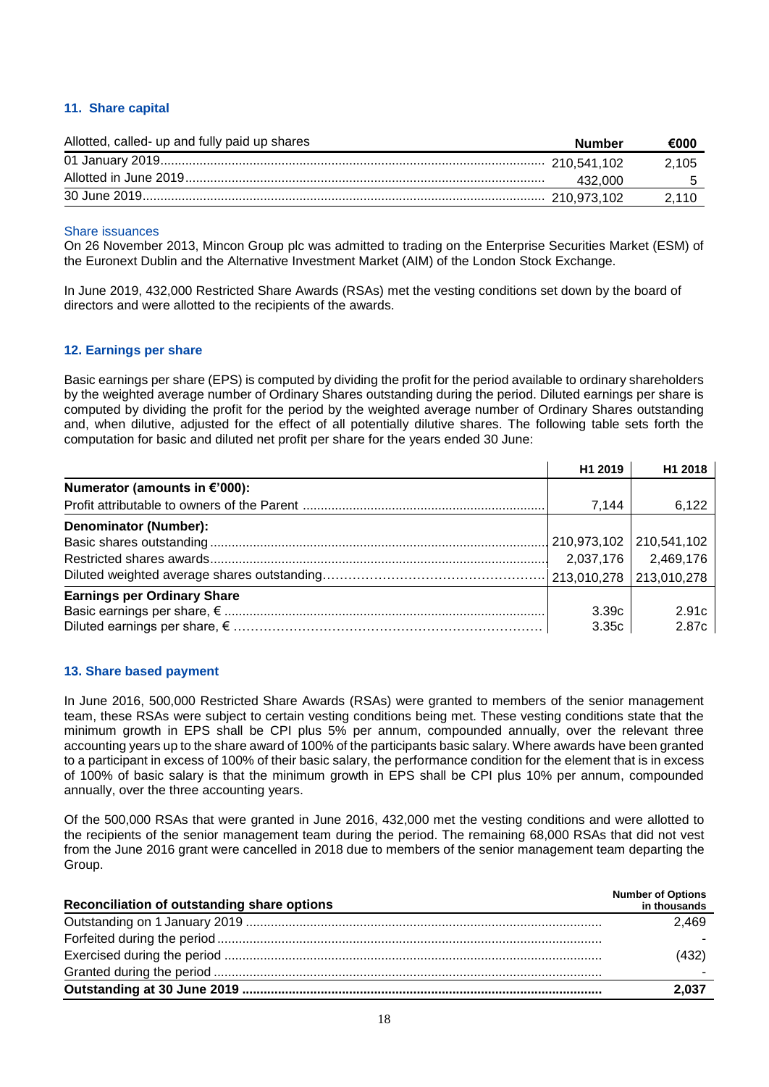## **11. Share capital**

| Allotted, called- up and fully paid up shares | Number  | €000  |
|-----------------------------------------------|---------|-------|
|                                               |         | 2.105 |
|                                               | 432.000 |       |
|                                               |         | 2,110 |

#### Share issuances

On 26 November 2013, Mincon Group plc was admitted to trading on the Enterprise Securities Market (ESM) of the Euronext Dublin and the Alternative Investment Market (AIM) of the London Stock Exchange.

In June 2019, 432,000 Restricted Share Awards (RSAs) met the vesting conditions set down by the board of directors and were allotted to the recipients of the awards.

#### **12. Earnings per share**

Basic earnings per share (EPS) is computed by dividing the profit for the period available to ordinary shareholders by the weighted average number of Ordinary Shares outstanding during the period. Diluted earnings per share is computed by dividing the profit for the period by the weighted average number of Ordinary Shares outstanding and, when dilutive, adjusted for the effect of all potentially dilutive shares. The following table sets forth the computation for basic and diluted net profit per share for the years ended 30 June:

|                                    | H <sub>1</sub> 2019 | H1 2018     |
|------------------------------------|---------------------|-------------|
| Numerator (amounts in €'000):      |                     |             |
|                                    | 7.144               | 6,122       |
| Denominator (Number):              |                     |             |
|                                    | 210,973,102         | 210,541,102 |
|                                    | 2,037,176           | 2,469,176   |
|                                    | 213,010,278         | 213,010,278 |
| <b>Earnings per Ordinary Share</b> |                     |             |
|                                    | 3.39c               | 2.91c       |
|                                    | 3.35c               | 2.87c       |

#### **13. Share based payment**

In June 2016, 500,000 Restricted Share Awards (RSAs) were granted to members of the senior management team, these RSAs were subject to certain vesting conditions being met. These vesting conditions state that the minimum growth in EPS shall be CPI plus 5% per annum, compounded annually, over the relevant three accounting years up to the share award of 100% of the participants basic salary. Where awards have been granted to a participant in excess of 100% of their basic salary, the performance condition for the element that is in excess of 100% of basic salary is that the minimum growth in EPS shall be CPI plus 10% per annum, compounded annually, over the three accounting years.

Of the 500,000 RSAs that were granted in June 2016, 432,000 met the vesting conditions and were allotted to the recipients of the senior management team during the period. The remaining 68,000 RSAs that did not vest from the June 2016 grant were cancelled in 2018 due to members of the senior management team departing the Group.

| Reconciliation of outstanding share options | <b>Number of Options</b><br>in thousands |
|---------------------------------------------|------------------------------------------|
|                                             | 2.469                                    |
|                                             |                                          |
|                                             | (432)                                    |
|                                             |                                          |
|                                             | 2,037                                    |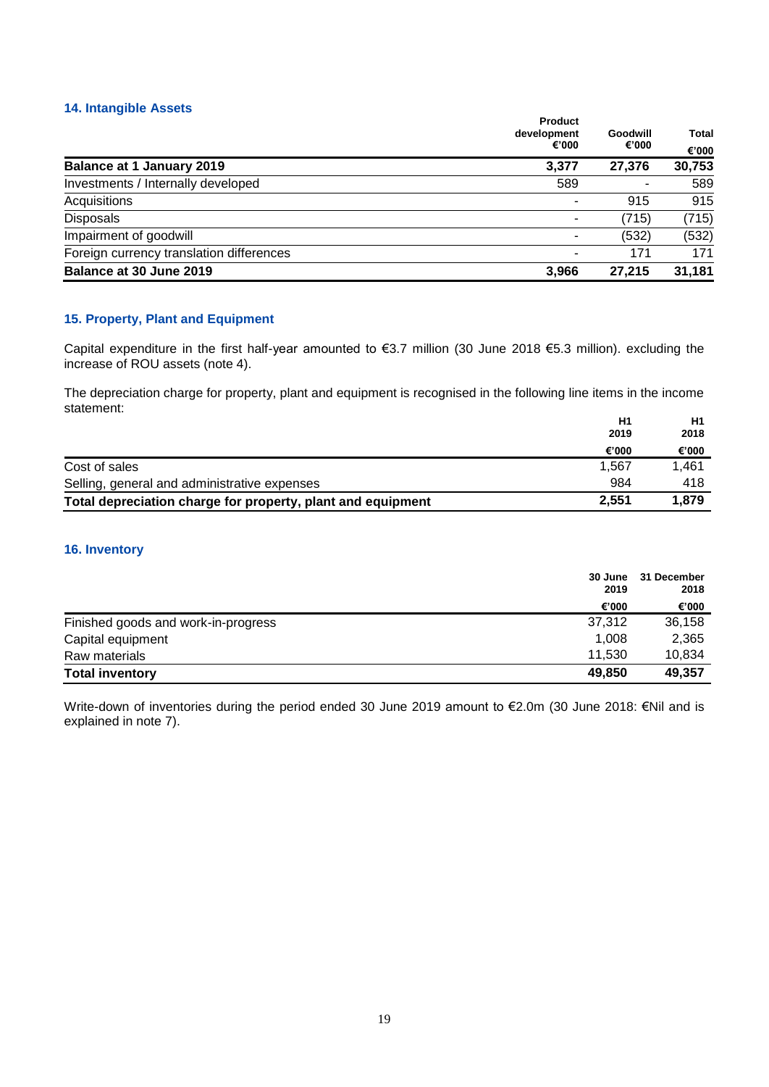## **14. Intangible Assets**

|                                          | Product<br>development<br>€'000 | Goodwill<br>€'000 | Total<br>€'000 |
|------------------------------------------|---------------------------------|-------------------|----------------|
| <b>Balance at 1 January 2019</b>         | 3,377                           | 27,376            | 30,753         |
| Investments / Internally developed       | 589                             |                   | 589            |
| Acquisitions                             |                                 | 915               | 915            |
| <b>Disposals</b>                         |                                 | (715)             | (715)          |
| Impairment of goodwill                   |                                 | (532)             | (532)          |
| Foreign currency translation differences |                                 | 171               | 171            |
| Balance at 30 June 2019                  | 3.966                           | 27.215            | 31,181         |

## **15. Property, Plant and Equipment**

Capital expenditure in the first half-year amounted to €3.7 million (30 June 2018 €5.3 million). excluding the increase of ROU assets (note 4).

The depreciation charge for property, plant and equipment is recognised in the following line items in the income statement:

|                                                             | H1    | Η1    |
|-------------------------------------------------------------|-------|-------|
|                                                             | 2019  | 2018  |
|                                                             | €'000 | €'000 |
| Cost of sales                                               | 1.567 | 1.461 |
| Selling, general and administrative expenses                | 984   | 418   |
| Total depreciation charge for property, plant and equipment | 2.551 | 1.879 |

## **16. Inventory**

|                                     | 30 June<br>2019 | 31 December<br>2018 |
|-------------------------------------|-----------------|---------------------|
|                                     | €'000           | €'000               |
| Finished goods and work-in-progress | 37,312          | 36,158              |
| Capital equipment                   | 1.008           | 2,365               |
| Raw materials                       | 11.530          | 10,834              |
| <b>Total inventory</b>              | 49,850          | 49,357              |

Write-down of inventories during the period ended 30 June 2019 amount to €2.0m (30 June 2018: €Nil and is explained in note 7).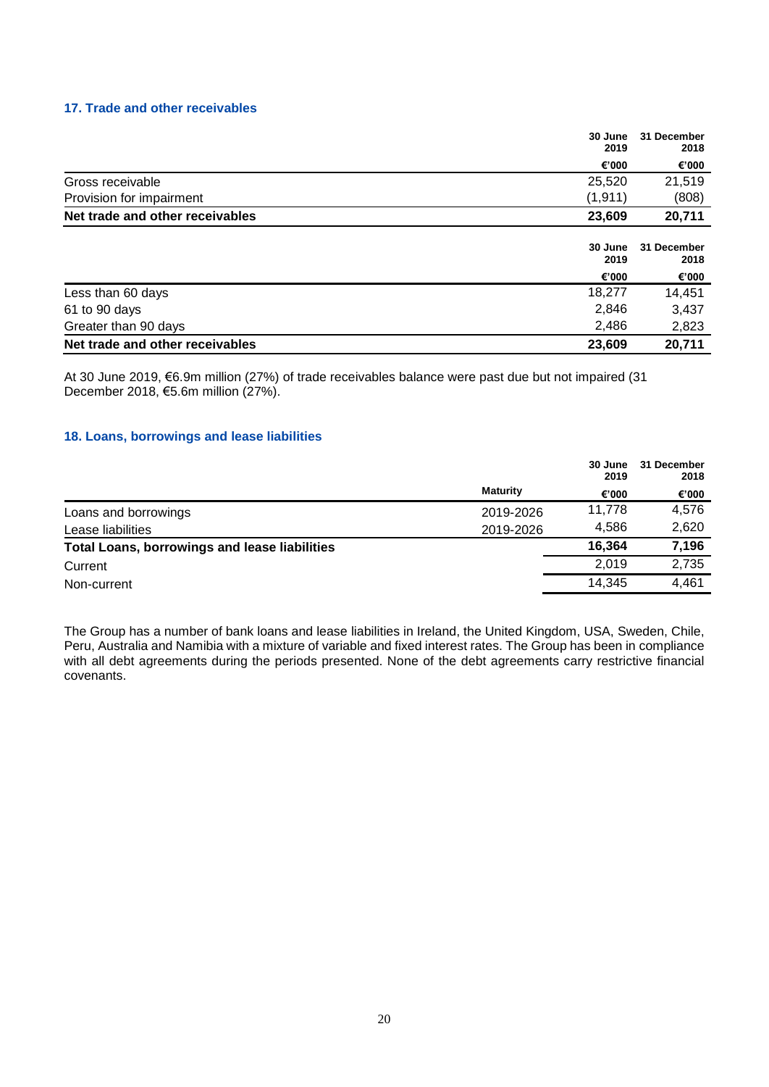#### **17. Trade and other receivables**

|                                 | 30 June<br>2019 | 31 December<br>2018 |
|---------------------------------|-----------------|---------------------|
|                                 | €'000           | €'000               |
| Gross receivable                | 25,520          | 21,519              |
| Provision for impairment        | (1, 911)        | (808)               |
| Net trade and other receivables | 23,609          | 20,711              |
|                                 | 30 June<br>2019 | 31 December<br>2018 |
|                                 | €'000           | €'000               |
| Less than 60 days               | 18,277          | 14,451              |
| 61 to 90 days                   | 2,846           | 3,437               |
| Greater than 90 days            | 2,486           | 2,823               |
| Net trade and other receivables | 23,609          | 20,711              |

At 30 June 2019, €6.9m million (27%) of trade receivables balance were past due but not impaired (31 December 2018, €5.6m million (27%).

## **18. Loans, borrowings and lease liabilities**

|                                                      |                 | 30 June<br>2019 | 31 December<br>2018 |
|------------------------------------------------------|-----------------|-----------------|---------------------|
|                                                      | <b>Maturity</b> | €'000           | €'000               |
| Loans and borrowings                                 | 2019-2026       | 11.778          | 4,576               |
| Lease liabilities                                    | 2019-2026       | 4.586           | 2,620               |
| <b>Total Loans, borrowings and lease liabilities</b> |                 | 16.364          | 7,196               |
| Current                                              |                 | 2.019           | 2,735               |
| Non-current                                          |                 | 14.345          | 4,461               |

The Group has a number of bank loans and lease liabilities in Ireland, the United Kingdom, USA, Sweden, Chile, Peru, Australia and Namibia with a mixture of variable and fixed interest rates. The Group has been in compliance with all debt agreements during the periods presented. None of the debt agreements carry restrictive financial covenants.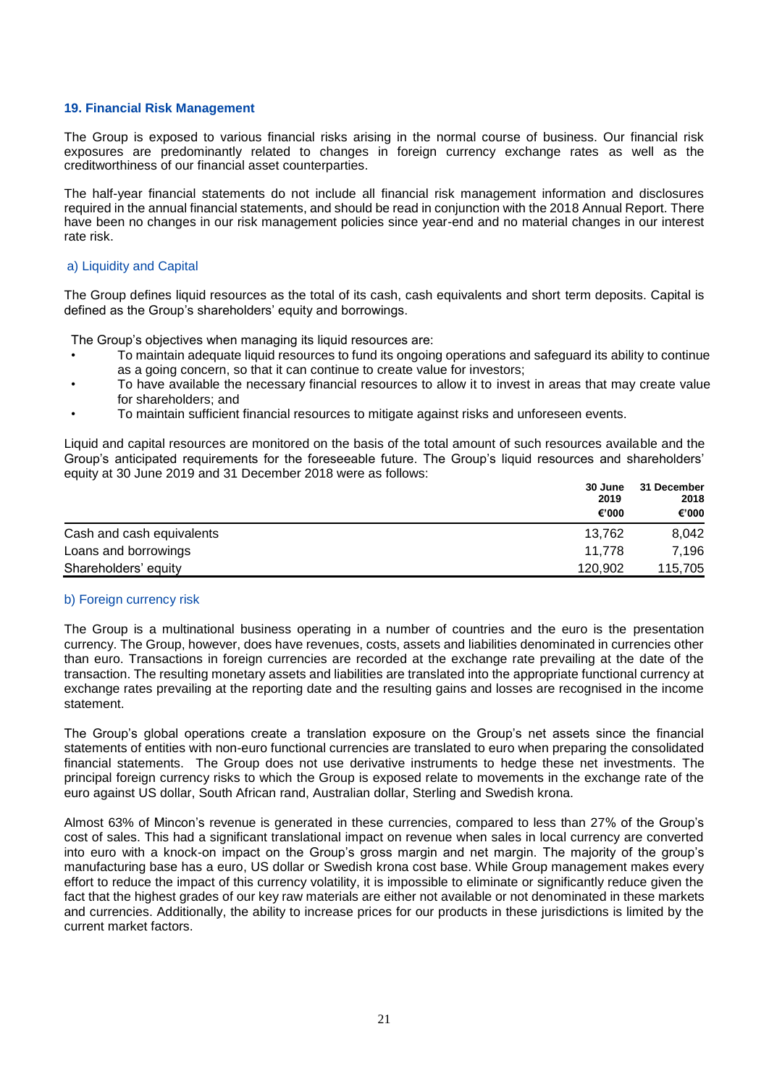#### **19. Financial Risk Management**

The Group is exposed to various financial risks arising in the normal course of business. Our financial risk exposures are predominantly related to changes in foreign currency exchange rates as well as the creditworthiness of our financial asset counterparties.

The half-year financial statements do not include all financial risk management information and disclosures required in the annual financial statements, and should be read in conjunction with the 2018 Annual Report. There have been no changes in our risk management policies since year-end and no material changes in our interest rate risk.

#### a) Liquidity and Capital

The Group defines liquid resources as the total of its cash, cash equivalents and short term deposits. Capital is defined as the Group's shareholders' equity and borrowings.

The Group's objectives when managing its liquid resources are:

- To maintain adequate liquid resources to fund its ongoing operations and safeguard its ability to continue as a going concern, so that it can continue to create value for investors;
- To have available the necessary financial resources to allow it to invest in areas that may create value for shareholders; and
- To maintain sufficient financial resources to mitigate against risks and unforeseen events.

Liquid and capital resources are monitored on the basis of the total amount of such resources available and the Group's anticipated requirements for the foreseeable future. The Group's liquid resources and shareholders' equity at 30 June 2019 and 31 December 2018 were as follows:

|                           | 30 June | 31 December<br>2018<br>€'000 |
|---------------------------|---------|------------------------------|
|                           | 2019    |                              |
|                           | €'000   |                              |
| Cash and cash equivalents | 13.762  | 8,042                        |
| Loans and borrowings      | 11.778  | 7.196                        |
| Shareholders' equity      | 120,902 | 115,705                      |

#### b) Foreign currency risk

The Group is a multinational business operating in a number of countries and the euro is the presentation currency. The Group, however, does have revenues, costs, assets and liabilities denominated in currencies other than euro. Transactions in foreign currencies are recorded at the exchange rate prevailing at the date of the transaction. The resulting monetary assets and liabilities are translated into the appropriate functional currency at exchange rates prevailing at the reporting date and the resulting gains and losses are recognised in the income statement.

The Group's global operations create a translation exposure on the Group's net assets since the financial statements of entities with non-euro functional currencies are translated to euro when preparing the consolidated financial statements. The Group does not use derivative instruments to hedge these net investments. The principal foreign currency risks to which the Group is exposed relate to movements in the exchange rate of the euro against US dollar, South African rand, Australian dollar, Sterling and Swedish krona.

Almost 63% of Mincon's revenue is generated in these currencies, compared to less than 27% of the Group's cost of sales. This had a significant translational impact on revenue when sales in local currency are converted into euro with a knock-on impact on the Group's gross margin and net margin. The majority of the group's manufacturing base has a euro, US dollar or Swedish krona cost base. While Group management makes every effort to reduce the impact of this currency volatility, it is impossible to eliminate or significantly reduce given the fact that the highest grades of our key raw materials are either not available or not denominated in these markets and currencies. Additionally, the ability to increase prices for our products in these jurisdictions is limited by the current market factors.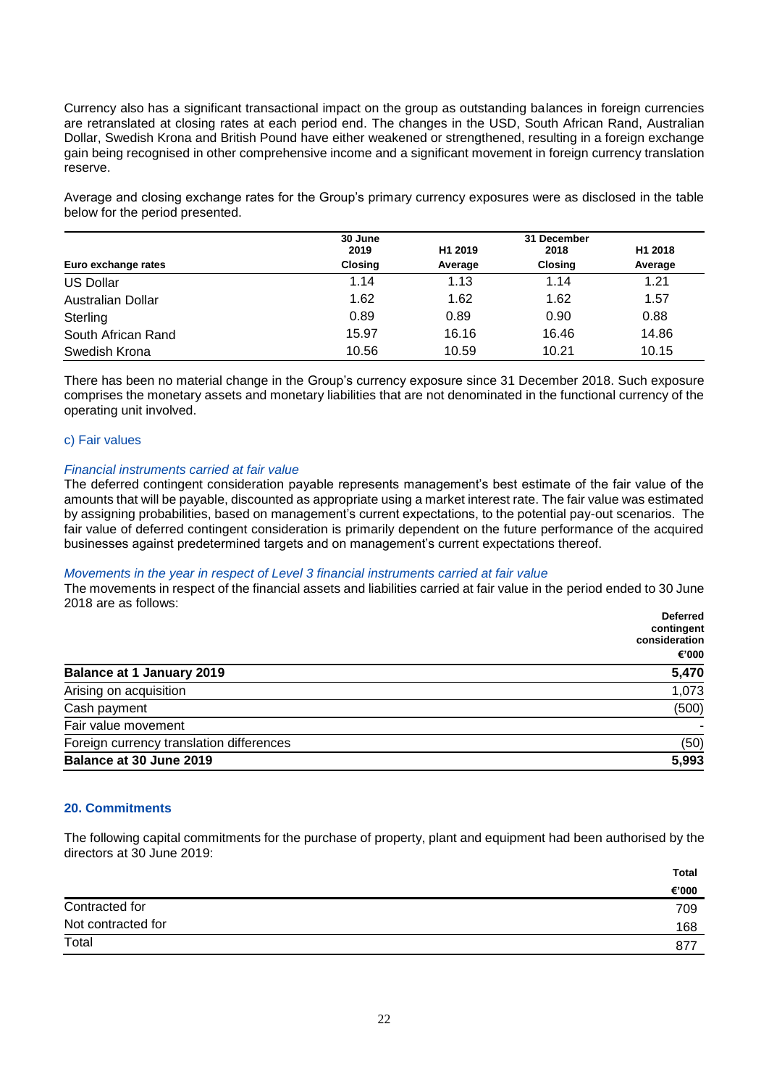Currency also has a significant transactional impact on the group as outstanding balances in foreign currencies are retranslated at closing rates at each period end. The changes in the USD, South African Rand, Australian Dollar, Swedish Krona and British Pound have either weakened or strengthened, resulting in a foreign exchange gain being recognised in other comprehensive income and a significant movement in foreign currency translation reserve.

Average and closing exchange rates for the Group's primary currency exposures were as disclosed in the table below for the period presented.

|                     | 30 June        |                     | 31 December    |                     |
|---------------------|----------------|---------------------|----------------|---------------------|
|                     | 2019           | H <sub>1</sub> 2019 | 2018           | H <sub>1</sub> 2018 |
| Euro exchange rates | <b>Closing</b> | Average             | <b>Closing</b> | Average             |
| <b>US Dollar</b>    | 1.14           | 1.13                | 1.14           | 1.21                |
| Australian Dollar   | 1.62           | 1.62                | 1.62           | 1.57                |
| Sterling            | 0.89           | 0.89                | 0.90           | 0.88                |
| South African Rand  | 15.97          | 16.16               | 16.46          | 14.86               |
| Swedish Krona       | 10.56          | 10.59               | 10.21          | 10.15               |

There has been no material change in the Group's currency exposure since 31 December 2018. Such exposure comprises the monetary assets and monetary liabilities that are not denominated in the functional currency of the operating unit involved.

#### c) Fair values

#### *Financial instruments carried at fair value*

The deferred contingent consideration payable represents management's best estimate of the fair value of the amounts that will be payable, discounted as appropriate using a market interest rate. The fair value was estimated by assigning probabilities, based on management's current expectations, to the potential pay-out scenarios. The fair value of deferred contingent consideration is primarily dependent on the future performance of the acquired businesses against predetermined targets and on management's current expectations thereof.

#### *Movements in the year in respect of Level 3 financial instruments carried at fair value*

The movements in respect of the financial assets and liabilities carried at fair value in the period ended to 30 June 2018 are as follows:

|                                          | <b>Deferred</b><br>contingent |
|------------------------------------------|-------------------------------|
|                                          | consideration                 |
|                                          | €'000                         |
| <b>Balance at 1 January 2019</b>         | 5,470                         |
| Arising on acquisition                   | 1,073                         |
| Cash payment                             | (500)                         |
| Fair value movement                      |                               |
| Foreign currency translation differences | (50)                          |
| Balance at 30 June 2019                  | 5,993                         |

#### **20. Commitments**

The following capital commitments for the purchase of property, plant and equipment had been authorised by the directors at 30 June 2019:

|                    | <b>Total</b> |
|--------------------|--------------|
|                    | €'000        |
| Contracted for     | 709          |
| Not contracted for | 168          |
| Total              | 877          |